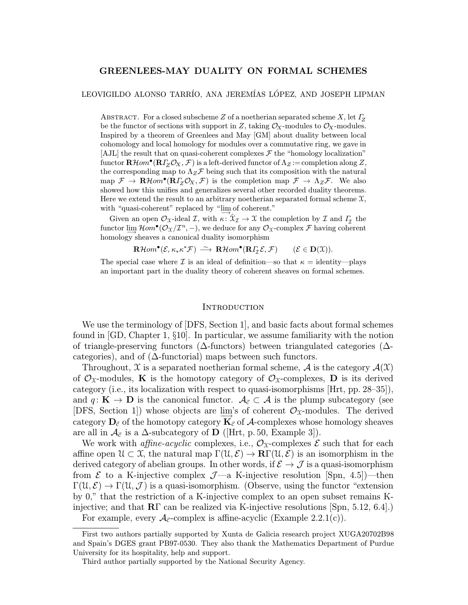## GREENLEES-MAY DUALITY ON FORMAL SCHEMES

### LEOVIGILDO ALONSO TARRÍO, ANA JEREMÍAS LÓPEZ, AND JOSEPH LIPMAN

ABSTRACT. For a closed subscheme Z of a noetherian separated scheme X, let  $\Gamma_Z$ be the functor of sections with support in Z, taking  $\mathcal{O}_X$ -modules to  $\mathcal{O}_X$ -modules. Inspired by a theorem of Greenlees and May [GM] about duality between local cohomology and local homology for modules over a commutative ring, we gave in [AJL] the result that on quasi-coherent complexes  $\mathcal F$  the "homology localization" functor  $\mathbf{R}\mathcal{H}om^{\bullet}(\mathbf{R}\Gamma_{Z}\mathcal{O}_{X},\mathcal{F})$  is a left-derived functor of  $\Lambda_{Z}:=$  completion along Z, the corresponding map to  $\Lambda_Z \mathcal{F}$  being such that its composition with the natural map  $\mathcal{F} \to \mathbf{R}\mathcal{H}$ om $\mathbf{P}(\mathbf{R}\Gamma_Z\mathcal{O}_X,\mathcal{F})$  is the completion map  $\mathcal{F} \to \Lambda_Z\mathcal{F}$ . We also showed how this unifies and generalizes several other recorded duality theorems. Here we extend the result to an arbitrary noetherian separated formal scheme  $\mathfrak{X}$ , with "quasi-coherent" replaced by "lim of coherent."

Given an open  $\mathcal{O}_\mathfrak{X}$ -ideal  $\mathcal{I}$ , with  $\kappa: \hat{\mathfrak{X}}_{\mathcal{I}} \to \mathfrak{X}$  the completion by  $\mathcal{I}$  and  $\Gamma_{\mathcal{I}}$  the functor lim $\mathcal{H}om^{\bullet}(\mathcal{O}_{\mathfrak{X}}/\mathcal{I}^n,-)$ , we deduce for any  $\mathcal{O}_{\mathfrak{X}}$ -complex F having coherent homology sheaves a canonical duality isomorphism

 $\mathbf{R}\mathcal{H}om^{\bullet}(\mathcal{E}, \kappa_*\kappa^*\mathcal{F}) \stackrel{\sim}{\longrightarrow} \mathbf{R}\mathcal{H}om^{\bullet}(\mathbf{R}\mathit{I}_{\mathcal{I}}\mathcal{E}, \mathcal{F}) \qquad (\mathcal{E} \in \mathbf{D}(\mathfrak{X})).$ 

The special case where *I* is an ideal of definition—so that  $\kappa =$  identity—plays an important part in the duality theory of coherent sheaves on formal schemes.

### **INTRODUCTION**

We use the terminology of [DFS, Section 1], and basic facts about formal schemes found in [GD, Chapter 1, §10]. In particular, we assume familiarity with the notion of triangle-preserving functors (∆-functors) between triangulated categories (∆ categories), and of  $(∆$ -functorial) maps between such functors.

Throughout, X is a separated noetherian formal scheme,  $A$  is the category  $A(\mathfrak{X})$ of  $\mathcal{O}_{\mathfrak{X}}$ -modules, **K** is the homotopy category of  $\mathcal{O}_{\mathfrak{X}}$ -complexes, **D** is its derived category (i.e., its localization with respect to quasi-isomorphisms [Hrt, pp. 28–35]), and  $q: K \to D$  is the canonical functor.  $\mathcal{A}_{\vec{c}} \subset \mathcal{A}$  is the plump subcategory (see [DFS, Section 1]) whose objects are lim<sup>2</sup>s of coherent  $\mathcal{O}_{\mathfrak{X}}$ -modules. The derived category  $D_{\vec{c}}$  of the homotopy category  $K_{\vec{c}}$  of A-complexes whose homology sheaves are all in  $\mathcal{A}_{\vec{c}}$  is a  $\Delta$ -subcategory of **D** ([Hrt, p. 50, Example 3]).

We work with *affine-acyclic* complexes, i.e.,  $\mathcal{O}_\mathfrak{X}$ -complexes  $\mathcal E$  such that for each affine open  $\mathcal{U} \subset \mathcal{X}$ , the natural map  $\Gamma(\mathcal{U}, \mathcal{E}) \to \mathbb{R}\Gamma(\mathcal{U}, \mathcal{E})$  is an isomorphism in the derived category of abelian groups. In other words, if  $\mathcal{E} \to \mathcal{J}$  is a quasi-isomorphism from  $\mathcal E$  to a K-injective complex  $\mathcal J$ —a K-injective resolution [Spn, 4.5])—then  $\Gamma(\mathfrak{U},\mathcal{E}) \to \Gamma(\mathfrak{U},\mathcal{J})$  is a quasi-isomorphism. (Observe, using the functor "extension" by 0," that the restriction of a K-injective complex to an open subset remains Kinjective; and that  $\mathbb{R}\Gamma$  can be realized via K-injective resolutions [Spn, 5.12, 6.4].)

For example, every  $\mathcal{A}_{\vec{c}}$ -complex is affine-acyclic (Example 2.2.1(c)).

First two authors partially supported by Xunta de Galicia research project XUGA20702B98 and Spain's DGES grant PB97-0530. They also thank the Mathematics Department of Purdue University for its hospitality, help and support.

Third author partially supported by the National Security Agency.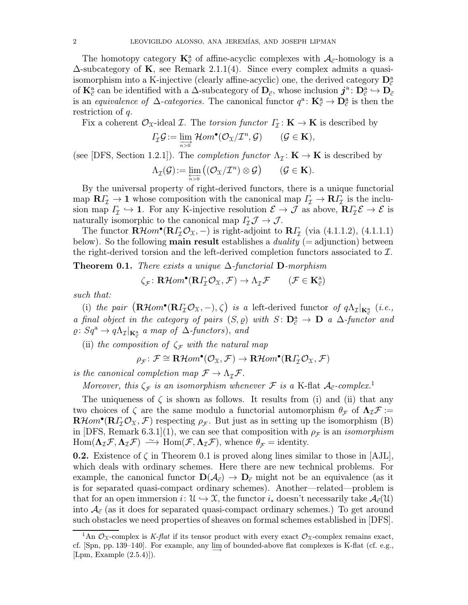The homotopy category  $\mathbf{K}_{\vec{c}}^{a}$  of affine-acyclic complexes with  $\mathcal{A}_{\vec{c}}$ -homology is a  $\Delta$ -subcategory of **K**, see Remark 2.1.1(4). Since every complex admits a quasiisomorphism into a K-injective (clearly affine-acyclic) one, the derived category  $\mathbf{D}_{\vec{c}}^{a}$ of  $\mathbf{K}_{\vec{c}}^{\text{a}}$  can be identified with a  $\Delta$ -subcategory of  $\mathbf{D}_{\vec{c}}$ , whose inclusion  $j^{\text{a}}\colon \mathbf{D}_{\vec{c}}^{\text{a}} \hookrightarrow \mathbf{D}_{\vec{c}}$ is an equivalence of  $\Delta$ -categories. The canonical functor  $q^a: \mathbf{K}^a_{\vec{c}} \to \mathbf{D}^a_{\vec{c}}$  is then the restriction of q.

Fix a coherent  $\mathcal{O}_{\mathfrak{X}}$ -ideal  $\mathcal{I}$ . The torsion functor  $\Gamma_{\mathcal{I}} : \mathbf{K} \to \mathbf{K}$  is described by

$$
\varGamma_{\!\mathcal{I}}\mathcal{G}:=\lim_{n\to 0}\mathcal{H}\!\mathit{om}^\bullet(\mathcal{O}_{\mathfrak{X}}/\mathcal{I}^n,\mathcal{G})\qquad(\mathcal{G}\in\mathbf{K}),
$$

(see [DFS, Section 1.2.1]). The *completion functor*  $\Lambda_{\mathcal{I}}: \mathbf{K} \to \mathbf{K}$  is described by

$$
\Lambda_{\mathcal{I}}(\mathcal{G}) := \varprojlim_{n>0} ((\mathcal{O}_{\mathfrak{X}}/\mathcal{I}^n) \otimes \mathcal{G}) \qquad (\mathcal{G} \in \mathbf{K}).
$$

By the universal property of right-derived functors, there is a unique functorial map  $R\Gamma$ <sub>I</sub>  $\rightarrow$  1 whose composition with the canonical map  $\Gamma$ <sub>I</sub>  $\rightarrow$   $R$  $\Gamma$ <sub>I</sub> is the inclusion map  $\Gamma_{\mathcal{I}} \hookrightarrow 1$ . For any K-injective resolution  $\mathcal{E} \to \mathcal{J}$  as above,  $\mathbf{R}\Gamma_{\mathcal{I}}\mathcal{E} \to \mathcal{E}$  is naturally isomorphic to the canonical map  $\Gamma_{\mathcal{I}} \mathcal{J} \to \mathcal{J}$ .

The functor  $\mathbf{R}\mathcal{H}om^{\bullet}(\mathbf{R}\Gamma_{\mathcal{I}}\mathcal{O}_{\mathfrak{X}},-)$  is right-adjoint to  $\mathbf{R}\Gamma_{\mathcal{I}}$  (via (4.1.1.2), (4.1.1.1) below). So the following **main result** establishes a *duality* (= adjunction) between the right-derived torsion and the left-derived completion functors associated to  $\mathcal{I}$ .

**Theorem 0.1.** There exists a unique  $\Delta$ -functorial **D**-morphism

$$
\zeta_{\mathcal{F}} \colon \mathbf{R}\mathcal{H}om^{\bullet}(\mathbf{R}\mathit{\Gamma}_{\mathcal{I}}\mathcal{O}_{\mathfrak{X}}, \mathcal{F}) \to \Lambda_{\mathcal{I}}\mathcal{F} \qquad (\mathcal{F} \in \mathbf{K}_{\vec{c}}^{\mathbf{a}})
$$

such that:

(i) the pair  $(\mathbf{R}\mathcal{H}om^{\bullet}(\mathbf{R}\mathcal{I}_{\mathcal{I}}\mathcal{O}_{\mathfrak{X}},-),\zeta)$  is a left-derived functor of  $q\Lambda_{\mathcal{I}}|_{\mathbf{K}_{\mathcal{I}}^{\mathbf{a}}}(i.e.,$ a final object in the category of pairs  $(S, \varrho)$  with  $S: \mathbf{D}_{\vec{c}}^{a} \to \mathbf{D}$  a  $\Delta$ -functor and  $\varrho\colon Sq^{\mathbf{a}} \to q\Lambda_{\mathcal{I}}|_{\mathbf{K}_{\vec{c}}^{\mathbf{a}}}$  a map of  $\Delta$ -functors), and

(ii) the composition of  $\zeta_{\mathcal{F}}$  with the natural map

 $\rho_{\mathcal{F}}\colon \mathcal{F}\cong \mathbf{R}\mathcal{H}om^{\bullet}(\mathcal{O}_{\mathfrak{X}},\mathcal{F})\to \mathbf{R}\mathcal{H}om^{\bullet}(\mathbf{R}\Gamma_{\mathcal{I}}\mathcal{O}_{\mathfrak{X}},\mathcal{F})$ 

is the canonical completion map  $\mathcal{F} \to \Lambda_{\mathcal{I}} \mathcal{F}$ .

Moreover, this  $\zeta_{\mathcal{F}}$  is an isomorphism whenever  $\mathcal F$  is a K-flat  $\mathcal A_{\vec c}$ -complex.<sup>1</sup>

The uniqueness of  $\zeta$  is shown as follows. It results from (i) and (ii) that any two choices of  $\zeta$  are the same modulo a functorial automorphism  $\theta_{\mathcal{F}}$  of  $\Lambda_{\mathcal{I}}\mathcal{F} :=$  $\mathbf{R}\mathcal{H}$ om•( $\mathbf{R}\Gamma_{\mathcal{I}}\mathcal{O}_{\mathfrak{X}},\mathcal{F}$ ) respecting  $\rho_{\mathcal{F}}$ . But just as in setting up the isomorphism (B) in [DFS, Remark 6.3.1](1), we can see that composition with  $\rho_{\mathcal{F}}$  is an *isomorphism*  $\text{Hom}(\Lambda_{\mathcal{I}}\mathcal{F}, \Lambda_{\mathcal{I}}\mathcal{F}) \longrightarrow \text{Hom}(\mathcal{F}, \Lambda_{\mathcal{I}}\mathcal{F}), \text{ whence } \theta_{\mathcal{F}} = \text{identity}.$ 

**0.2.** Existence of  $\zeta$  in Theorem 0.1 is proved along lines similar to those in [AJL], which deals with ordinary schemes. Here there are new technical problems. For example, the canonical functor  $\mathbf{D}(\mathcal{A}_{\vec{c}}) \to \mathbf{D}_{\vec{c}}$  might not be an equivalence (as it is for separated quasi-compact ordinary schemes). Another—related—problem is that for an open immersion  $i: \mathcal{U} \to \mathcal{X}$ , the functor  $i_*$  doesn't necessarily take  $\mathcal{A}_{\vec{c}}(\mathcal{U})$ into  $A_{\vec{c}}$  (as it does for separated quasi-compact ordinary schemes.) To get around such obstacles we need properties of sheaves on formal schemes established in [DFS].

<sup>&</sup>lt;sup>1</sup>An  $\mathcal{O}_\mathfrak{X}$ -complex is K-flat if its tensor product with every exact  $\mathcal{O}_\mathfrak{X}$ -complex remains exact, cf. [Spn, pp. 139–140]. For example, any lim of bounded-above flat complexes is K-flat (cf. e.g., [Lpm, Example (2.5.4)]).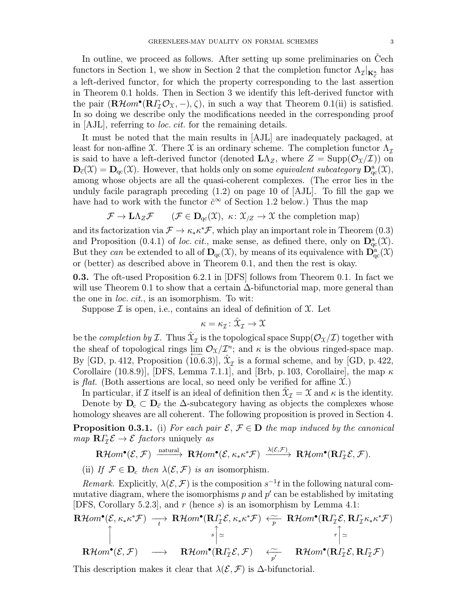In outline, we proceed as follows. After setting up some preliminaries on Cech functors in Section 1, we show in Section 2 that the completion functor  $\Lambda_{\mathcal{I}}|_{\mathbf{K}_{\vec{c}}^{\mathbf{a}}}$  has a left-derived functor, for which the property corresponding to the last assertion in Theorem 0.1 holds. Then in Section 3 we identify this left-derived functor with the pair  $(\mathbf{R}\mathcal{H}om^{\bullet}(\mathbf{R}\Gamma_{\mathcal{I}}\mathcal{O}_{\mathfrak{X}},-),\zeta),$  in such a way that Theorem 0.1(ii) is satisfied. In so doing we describe only the modifications needed in the corresponding proof in [AJL], referring to loc. cit. for the remaining details.

It must be noted that the main results in [AJL] are inadequately packaged, at least for non-affine X. There X is an ordinary scheme. The completion functor  $\Lambda_{\mathcal{I}}$ is said to have a left-derived functor (denoted  $\mathbf{L}\Lambda_Z$ , where  $Z = \text{Supp}(\mathcal{O}_X/\mathcal{I})$ ) on  $\mathbf{D}_{\vec{c}}(\mathfrak{X}) = \mathbf{D}_{\text{qc}}(\mathfrak{X})$ . However, that holds only on some *equivalent subcategory*  $\mathbf{D}^{\text{a}}_{\text{qc}}(\mathfrak{X})$ , among whose objects are all the quasi-coherent complexes. (The error lies in the unduly facile paragraph preceding (1.2) on page 10 of [AJL]. To fill the gap we have had to work with the functor  $\check{c}^{\infty}$  of Section 1.2 below.) Thus the map

$$
\mathcal{F} \to \mathbf{L}\Lambda_Z \mathcal{F} \qquad (\mathcal{F} \in \mathbf{D}_{\mathrm{qc}}(\mathfrak{X}), \ \kappa \colon \mathfrak{X}_{/Z} \to \mathfrak{X} \ \text{the completion map})
$$

and its factorization via  $\mathcal{F} \to \kappa_* \kappa^* \mathcal{F}$ , which play an important role in Theorem (0.3) and Proposition (0.4.1) of loc. cit., make sense, as defined there, only on  $\mathbf{D}^{\text{a}}_{\text{qc}}(\mathfrak{X})$ . But they can be extended to all of  $D_{qc}(X)$ , by means of its equivalence with  $D_{qc}^{\alpha}(X)$ or (better) as described above in Theorem 0.1, and then the rest is okay.

0.3. The oft-used Proposition 6.2.1 in [DFS] follows from Theorem 0.1. In fact we will use Theorem 0.1 to show that a certain  $\Delta$ -bifunctorial map, more general than the one in *loc. cit.*, is an isomorphism. To wit:

Suppose  $\mathcal I$  is open, i.e., contains an ideal of definition of  $\mathcal X$ . Let

$$
\kappa=\kappa_{\mathcal{I}}\colon \hat{\mathbf{X}}_{\mathcal{I}}\to \mathbf{X}
$$

be the *completion by I*. Thus  $\mathfrak{X}_{\mathcal{I}}$  is the topological space  $\text{Supp}(\mathcal{O}_{\mathfrak{X}}/\mathcal{I})$  together with the sheaf of topological rings lim  $\mathcal{O}_X/\mathcal{I}^n$ ; and  $\kappa$  is the obvious ringed-space map. By [GD, p. 412, Proposition (10.6.3)],  $\mathfrak{X}_{\mathcal{I}}$  is a formal scheme, and by [GD, p. 422, Corollaire (10.8.9)], [DFS, Lemma 7.1.1], and [Brb, p. 103, Corollaire], the map  $\kappa$ is flat. (Both assertions are local, so need only be verified for affine  $\mathfrak{X}$ .)

In particular, if I itself is an ideal of definition then  $\hat{\chi}$ <sub>I</sub> = X and  $\kappa$  is the identity. Denote by  $D_c \subset D_{\vec{c}}$  the  $\Delta$ -subcategory having as objects the complexes whose homology sheaves are all coherent. The following proposition is proved in Section 4.

**Proposition 0.3.1.** (i) For each pair  $\mathcal{E}, \mathcal{F} \in \mathbf{D}$  the map induced by the canonical *map*  $\mathbf{R}\Gamma_{\mathcal{I}}\mathcal{E} \rightarrow \mathcal{E}$  *factors* uniquely *as* 

$$
\mathbf{R}\mathcal{H}om^{\bullet}(\mathcal{E},\mathcal{F})\xrightarrow{\text{natural}} \mathbf{R}\mathcal{H}om^{\bullet}(\mathcal{E},\kappa_*\kappa^*\mathcal{F})\xrightarrow{\lambda(\mathcal{E},\mathcal{F})}\mathbf{R}\mathcal{H}om^{\bullet}(\mathbf{R}\Gamma_{\mathcal{I}}\mathcal{E},\mathcal{F}).
$$

(ii) If  $\mathcal{F} \in \mathbf{D}_c$  then  $\lambda(\mathcal{E}, \mathcal{F})$  is an isomorphism.

Remark. Explicitly,  $\lambda(\mathcal{E}, \mathcal{F})$  is the composition  $s^{-1}t$  in the following natural commutative diagram, where the isomorphisms  $p$  and  $p'$  can be established by imitating [DFS, Corollary 5.2.3], and r (hence s) is an isomorphism by Lemma 4.1:

$$
\mathbf{R}\mathcal{H}om^{\bullet}(\mathcal{E}, \kappa_{*}\kappa^{*}\mathcal{F}) \longrightarrow \mathbf{R}\mathcal{H}om^{\bullet}(\mathbf{R}\Gamma_{\mathcal{I}}\mathcal{E}, \kappa_{*}\kappa^{*}\mathcal{F}) \stackrel{\sim}{\longleftarrow} \mathbf{R}\mathcal{H}om^{\bullet}(\mathbf{R}\Gamma_{\mathcal{I}}\mathcal{E}, \mathbf{R}\Gamma_{\mathcal{I}}\kappa_{*}\kappa^{*}\mathcal{F})
$$
\n
$$
\uparrow
$$
\n
$$
\uparrow
$$
\n
$$
\mathbf{R}\mathcal{H}om^{\bullet}(\mathcal{E}, \mathcal{F}) \longrightarrow \mathbf{R}\mathcal{H}om^{\bullet}(\mathbf{R}\Gamma_{\mathcal{I}}\mathcal{E}, \mathcal{F}) \stackrel{\sim}{\longleftarrow} \mathbf{R}\mathcal{H}om^{\bullet}(\mathbf{R}\Gamma_{\mathcal{I}}\mathcal{E}, \mathbf{R}\Gamma_{\mathcal{I}}\mathcal{F})
$$

This description makes it clear that  $\lambda(\mathcal{E}, \mathcal{F})$  is  $\Delta$ -bifunctorial.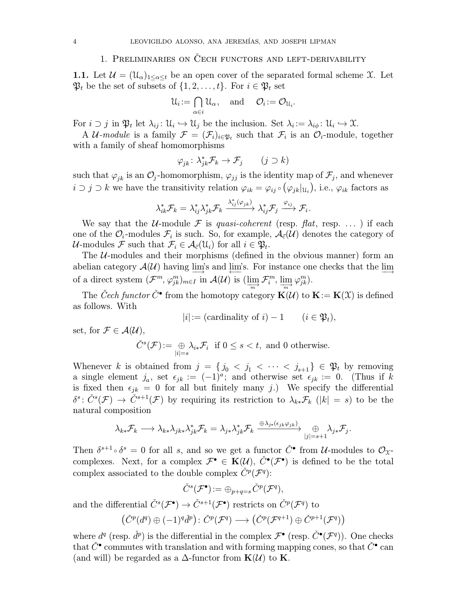## 1. PRELIMINARIES ON CECH FUNCTORS AND LEFT-DERIVABILITY

**1.1.** Let  $\mathcal{U} = (\mathcal{U}_{\alpha})_{1 \leq \alpha \leq t}$  be an open cover of the separated formal scheme X. Let  $\mathfrak{P}_t$  be the set of subsets of  $\{1, 2, \ldots, t\}$ . For  $i \in \mathfrak{P}_t$  set

$$
\mathcal{U}_i := \bigcap_{\alpha \in i} \mathcal{U}_\alpha, \quad \text{and} \quad \mathcal{O}_i := \mathcal{O}_{\mathcal{U}_i}.
$$

For  $i \supset j$  in  $\mathfrak{P}_t$  let  $\lambda_{ij} : \mathfrak{U}_i \hookrightarrow \mathfrak{U}_j$  be the inclusion. Set  $\lambda_i := \lambda_{i\phi} : \mathfrak{U}_i \hookrightarrow \mathfrak{X}$ .

A U-module is a family  $\mathcal{F} = (\mathcal{F}_i)_{i \in \mathfrak{B}_t}$  such that  $\mathcal{F}_i$  is an  $\mathcal{O}_i$ -module, together with a family of sheaf homomorphisms

$$
\varphi_{jk} \colon \lambda_{jk}^* \mathcal{F}_k \to \mathcal{F}_j \qquad (j \supset k)
$$

such that  $\varphi_{ik}$  is an  $\mathcal{O}_j$ -homomorphism,  $\varphi_{jj}$  is the identity map of  $\mathcal{F}_j$ , and whenever  $i \supset j \supset k$  we have the transitivity relation  $\varphi_{ik} = \varphi_{ij} \circ (\varphi_{jk}|_{U_i})$ , i.e.,  $\varphi_{ik}$  factors as

$$
\lambda_{ik}^* \mathcal{F}_k = \lambda_{ij}^* \lambda_{jk}^* \mathcal{F}_k \xrightarrow{\lambda_{ij}^* (\varphi_{jk})} \lambda_{ij}^* \mathcal{F}_j \xrightarrow{\varphi_{ij}} \mathcal{F}_i.
$$

We say that the *U*-module F is *quasi-coherent* (resp. flat, resp. ...) if each one of the  $\mathcal{O}_i$ -modules  $\mathcal{F}_i$  is such. So, for example,  $\mathcal{A}_{\vec{c}}(\mathcal{U})$  denotes the category of  $\mathcal{U}\text{-modules}\ \mathcal{F} \ \text{such that}\ \mathcal{F}_i\in\mathcal{A}_{\vec{c}}(\mathcal{U}_i) \ \text{for all}\ i\in\mathfrak{P}_t.$ 

The  $U$ -modules and their morphisms (defined in the obvious manner) form an abelian category  $\mathcal{A}(\mathcal{U})$  having  $\varinjlim$ 's and  $\varprojlim$ 's. For instance one checks that the  $\varinjlim$ of a direct system  $(\mathcal{F}^m, \varphi_{jk}^m)_{m \in I}$  in  $\mathcal{A}(\mathcal{U})$  is  $(\varinjlim_{m} \mathcal{F}_i^m, \varinjlim_{m} \varphi_{jk}^m)$ .

The Cech functor  $\check{C}^{\bullet}$  from the homotopy category  ${\bf K}(\mathcal{U})$  to  ${\bf K}:={\bf K}(\mathcal{X})$  is defined as follows. With

$$
|i| := (cardinality of i) - 1 \qquad (i \in \mathfrak{P}_t),
$$

set, for  $\mathcal{F} \in \mathcal{A}(\mathcal{U}),$ 

$$
\check{C}^s(\mathcal{F}) := \bigoplus_{|i|=s} \lambda_{i*} \mathcal{F}_i \text{ if } 0 \le s < t, \text{ and } 0 \text{ otherwise.}
$$

Whenever k is obtained from  $j = \{j_0 < j_1 < \cdots < j_{s+1}\}\in \mathfrak{P}_t$  by removing a single element  $j_a$ , set  $\epsilon_{jk} := (-1)^a$ ; and otherwise set  $\epsilon_{jk} := 0$ . (Thus if k is fixed then  $\epsilon_{jk} = 0$  for all but finitely many j.) We specify the differential  $\delta^s\colon \check{C}^s(\mathcal{F}) \to \check{C}^{s+1}(\mathcal{F})$  by requiring its restriction to  $\lambda_{k*}\mathcal{F}_k$  ( $|k|=s$ ) to be the natural composition

$$
\lambda_{k*} \mathcal{F}_k \longrightarrow \lambda_{k*} \lambda_{jk*} \lambda_{jk}^* \mathcal{F}_k = \lambda_{j*} \lambda_{jk}^* \mathcal{F}_k \xrightarrow{\oplus \lambda_{j*} (\epsilon_{jk} \varphi_{jk})} \bigoplus_{|j|=s+1} \lambda_{j*} \mathcal{F}_j.
$$

Then  $\delta^{s+1} \circ \delta^s = 0$  for all s, and so we get a functor  $\check{C}^{\bullet}$  from U-modules to  $\mathcal{O}_{\mathfrak{X}}$ complexes. Next, for a complex  $\mathcal{F}^{\bullet} \in \mathbf{K}(\mathcal{U}), \check{C}^{\bullet}(\mathcal{F}^{\bullet})$  is defined to be the total complex associated to the double complex  $\check{C}^p(\mathcal{F}^q)$ :

$$
\check{C}^s(\mathcal{F}^\bullet):=\oplus_{p+q=s}\check{C}^p(\mathcal{F}^q),
$$

and the differential  $\check{C}^s(\mathcal{F}^{\bullet}) \to \check{C}^{s+1}(\mathcal{F}^{\bullet})$  restricts on  $\check{C}^p(\mathcal{F}^q)$  to

$$
(\check{C}^p(d^q) \oplus (-1)^q \check{d}^p) \colon \check{C}^p(\mathcal{F}^q) \longrightarrow (\check{C}^p(\mathcal{F}^{q+1}) \oplus \check{C}^{p+1}(\mathcal{F}^q))
$$

where  $d^q$  (resp.  $\check{d}^p$ ) is the differential in the complex  $\mathcal{F}^{\bullet}$  (resp.  $\check{C}^{\bullet}(\mathcal{F}^q)$ ). One checks that  $\check{C}^{\bullet}$  commutes with translation and with forming mapping cones, so that  $\check{C}^{\bullet}$  can (and will) be regarded as a  $\Delta$ -functor from  ${\bf K}(\mathcal{U})$  to **K**.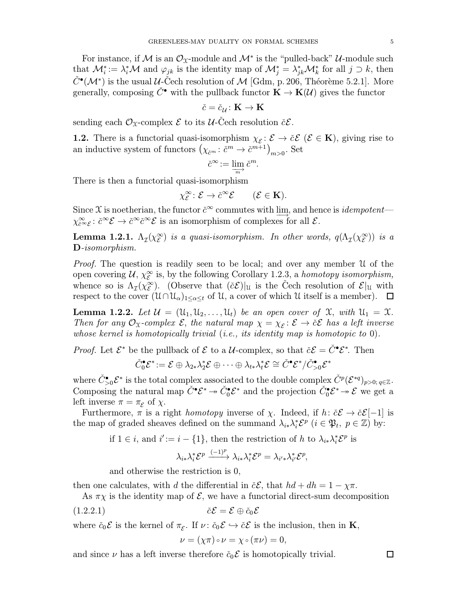For instance, if M is an  $\mathcal{O}_{\mathfrak{X}}$ -module and  $\mathcal{M}^*$  is the "pulled-back" U-module such that  $\mathcal{M}_i^* := \lambda_i^* \mathcal{M}$  and  $\varphi_{jk}$  is the identity map of  $\mathcal{M}_j^* = \lambda_{jk}^* \mathcal{M}_k^*$  for all  $j \supset k$ , then  $\check{C}^{\bullet}(\mathcal{M}^*)$  is the usual  $\mathcal{U}\text{-}\check{\mathrm{C}}$ ech resolution of  $\mathcal{M}$  [Gdm, p. 206, Théorème 5.2.1]. More generally, composing  $\check{C}^{\bullet}$  with the pullback functor  $\mathbf{K} \to \mathbf{K}(\mathcal{U})$  gives the functor

$$
\check{c}=\check{c}_{\mathcal{U}}\colon\mathbf{K}\to\mathbf{K}
$$

sending each  $\mathcal{O}_{\mathfrak{X}}$ -complex  $\mathcal E$  to its  $\mathcal U$ -Čech resolution  $\check{c}\mathcal{E}$ .

**1.2.** There is a functorial quasi-isomorphism  $\chi_{\mathcal{E}} : \mathcal{E} \to \check{c} \mathcal{E}$  ( $\mathcal{E} \in \mathbf{K}$ ), giving rise to an inductive system of functors  $(\chi_{\check{c}^m}: \check{c}^m \to \check{c}^{m+1})_{m>0}$ . Set

$$
\check{c}^{\infty} := \varinjlim_{m} \check{c}^m.
$$

There is then a functorial quasi-isomorphism

$$
\chi_{\mathcal{E}}^{\infty} \colon \mathcal{E} \to \check{c}^{\infty} \mathcal{E} \qquad (\mathcal{E} \in \mathbf{K}).
$$

Since X is noetherian, the functor  $\check{c}^\infty$  commutes with lim, and hence is *idempotent*—  $\chi_{\tilde{c}^{\infty}\mathcal{E}}^{\infty} : \tilde{c}^{\infty}\mathcal{E} \to \tilde{c}^{\infty}\tilde{c}^{\infty}\mathcal{E}$  is an isomorphism of complexes for all  $\mathcal{E}$ .

**Lemma 1.2.1.**  $\Lambda_{\mathcal{I}}(\chi_{\mathcal{E}}^{\infty})$  is a quasi-isomorphism. In other words,  $q(\Lambda_{\mathcal{I}}(\chi_{\mathcal{E}}^{\infty}))$  is a D-isomorphism.

Proof. The question is readily seen to be local; and over any member U of the open covering  $\mathcal{U}, \chi_{\mathcal{E}}^{\infty}$  is, by the following Corollary 1.2.3, a *homotopy isomorphism*, whence so is  $\Lambda_{\mathcal{I}}(\chi_{\mathcal{E}}^{\infty})$ . (Observe that  $(\check{c}\mathcal{E})|_{\mathcal{U}}$  is the Cech resolution of  $\mathcal{E}|_{\mathcal{U}}$  with respect to the cover  $(\mathcal{U} \cap \mathcal{U}_{\alpha})_{1 \leq \alpha \leq t}$  of  $\mathcal{U}$ , a cover of which  $\mathcal{U}$  itself is a member).  $\Box$ 

**Lemma 1.2.2.** Let  $\mathcal{U} = (\mathcal{U}_1, \mathcal{U}_2, \dots, \mathcal{U}_t)$  be an open cover of  $\mathcal{X}$ , with  $\mathcal{U}_1 = \mathcal{X}$ . Then for any  $\mathcal{O}_\mathfrak{X}$ -complex  $\mathcal{E}$ , the natural map  $\chi = \chi_{\mathcal{E}} \colon \mathcal{E} \to \check{c} \mathcal{E}$  has a left inverse whose kernel is homotopically trivial (i.e., its identity map is homotopic to  $0$ ).

*Proof.* Let  $\mathcal{E}^*$  be the pullback of  $\mathcal{E}$  to a  $\mathcal{U}$ -complex, so that  $\check{c}\mathcal{E} = \check{C}^{\bullet}\mathcal{E}^*$ . Then

 $\check{C}_0^{\bullet}\mathcal E^*\!:=\mathcal E\oplus\lambda_{2*}\lambda_2^*\mathcal E\oplus\cdots\oplus\lambda_{t*}\lambda_t^*\mathcal E\cong\check{C}^{\bullet}\mathcal E^*/\check{C}_{>0}^{\bullet}\mathcal E^*$ 

where  $\check{C}^{\bullet}_{>0}\mathcal{E}^*$  is the total complex associated to the double complex  $\check{C}^p(\mathcal{E}^{*q})_{p>0;\,q\in\mathbb{Z}}$ . Composing the natural map  $\check{C}^{\bullet}\mathcal{E}^* \to \check{C}_0^{\bullet}\mathcal{E}^*$  and the projection  $\check{C}_0^{\bullet}\mathcal{E}^* \to \mathcal{E}$  we get a left inverse  $\pi = \pi_{\mathcal{E}}$  of  $\chi$ .

Furthermore,  $\pi$  is a right *homotopy* inverse of  $\chi$ . Indeed, if  $h: \check{c}\mathcal{E} \to \check{c}\mathcal{E}[-1]$  is the map of graded sheaves defined on the summand  $\lambda_{i*}\lambda_i^* \mathcal{E}^p$   $(i \in \mathfrak{P}_t, p \in \mathbb{Z})$  by:

if  $1 \in i$ , and  $i' := i - \{1\}$ , then the restriction of h to  $\lambda_{i*} \lambda_i^* \mathcal{E}^p$  is

$$
\lambda_{i\ast}\lambda_{i}^{\ast}\mathcal{E}^{p}\xrightarrow{(-1)^{p}}\lambda_{i\ast}\lambda_{i}^{\ast}\mathcal{E}^{p}=\lambda_{i'\ast}\lambda_{i'}^{\ast}\mathcal{E}^{p},
$$

and otherwise the restriction is 0,

then one calculates, with d the differential in  $\check{c}\mathcal{E}$ , that  $hd + dh = 1 - \chi \pi$ .

As  $\pi \chi$  is the identity map of  $\mathcal{E}$ , we have a functorial direct-sum decomposition

(1.2.2.1) cˇE = E ⊕ cˇ<sup>0</sup> E

where  $\check{c}_0 \mathcal{E}$  is the kernel of  $\pi_{\mathcal{E}}$ . If  $\nu: \check{c}_0 \mathcal{E} \hookrightarrow \check{c} \mathcal{E}$  is the inclusion, then in **K**,

$$
\nu=(\chi\pi)\circ\nu=\chi\circ(\pi\nu)=0,
$$

and since  $\nu$  has a left inverse therefore  $\check{c}_0 \mathcal{E}$  is homotopically trivial.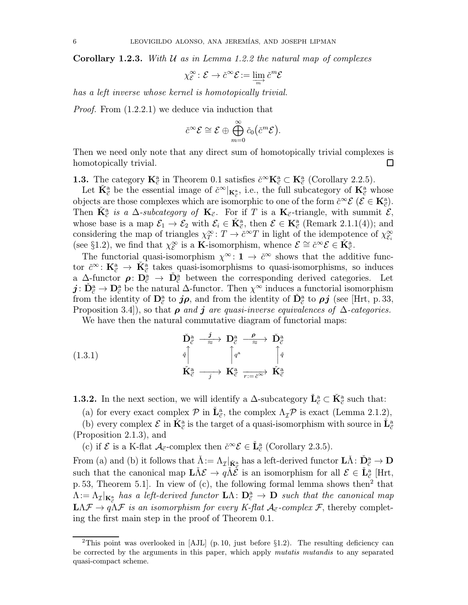**Corollary 1.2.3.** With U as in Lemma 1.2.2 the natural map of complexes

$$
\chi_{\mathcal{E}}^{\infty}\colon \mathcal{E}\to \check{c}^{\infty}\mathcal{E}:=\varinjlim_{m}\check{c}^{m}\mathcal{E}
$$

has a left inverse whose kernel is homotopically trivial.

Proof. From (1.2.2.1) we deduce via induction that

$$
\check{c}^{\infty} \mathcal{E} \cong \mathcal{E} \oplus \bigoplus_{m=0}^{\infty} \check{c}_0(\check{c}^m \mathcal{E}).
$$

Then we need only note that any direct sum of homotopically trivial complexes is homotopically trivial.  $\Box$ 

**1.3.** The category  $\mathbf{K}_{\vec{c}}^{\text{a}}$  in Theorem 0.1 satisfies  $\check{c}^{\infty} \mathbf{K}_{\vec{c}}^{\text{a}} \subset \mathbf{K}_{\vec{c}}^{\text{a}}$  (Corollary 2.2.5).

Let  $\check{K}^{\underline{a}}_{\vec{c}}$  be the essential image of  $\check{c}^{\infty}|_{K^{\underline{a}}_{\vec{c}}},$  i.e., the full subcategory of  $K^{\underline{a}}_{\vec{c}}$  whose objects are those complexes which are isomorphic to one of the form  $\check{c}^{\infty} \mathcal{E}$   $(\mathcal{E} \in \mathbf{K}_{\vec{c}}^{a})$ . Then  $\check{\mathbf{K}}^{\text{a}}_{\vec{c}}$  is a  $\Delta$ -subcategory of  $\mathbf{K}_{\vec{c}}$ . For if T is a  $\mathbf{K}_{\vec{c}}$ -triangle, with summit  $\mathcal{E}$ , whose base is a map  $\mathcal{E}_1 \to \mathcal{E}_2$  with  $\mathcal{E}_i \in \check{K}_{\vec{c}}^{\alpha}$ , then  $\mathcal{E} \in K_{\vec{c}}^{\alpha}$  (Remark 2.1.1(4)); and considering the map of triangles  $\chi_T^{\infty} : T \to \check{c}^{\infty}T$  in light of the idempotence of  $\chi_{\mathcal{E}_i}^{\infty}$ (see §1.2), we find that  $\chi_{\mathcal{E}}^{\infty}$  is a **K**-isomorphism, whence  $\mathcal{E} \cong \check{c}^{\infty} \mathcal{E} \in \check{K}_{\vec{c}}^{a}$ .

The functorial quasi-isomorphism  $\chi^{\infty}$ : 1  $\to \check{c}^{\infty}$  shows that the additive functor  $\check{c}^{\infty}$ :  $\mathbf{K}_{\vec{c}}^{a} \to \check{\mathbf{K}}_{\vec{c}}^{a}$  takes quasi-isomorphisms to quasi-isomorphisms, so induces a  $\Delta$ -functor  $\rho: \mathbf{D}_{\vec{c}}^{\mathbf{a}} \to \mathbf{D}_{\vec{c}}^{\mathbf{a}}$  between the corresponding derived categories. Let  $j: \check{D}^a_{\vec{c}} \to D^a_{\vec{c}}$  be the natural  $\Delta$ -functor. Then  $\chi^{\infty}$  induces a functorial isomorphism from the identity of  $\mathbf{D}_{\vec{c}}^{\mathbf{a}}$  to  $j\rho$ , and from the identity of  $\check{\mathbf{D}}_{\vec{c}}^{\mathbf{a}}$  to  $\rho j$  (see [Hrt, p. 33, Proposition 3.4), so that  $\rho$  and j are quasi-inverse equivalences of  $\Delta$ -categories.

We have then the natural commutative diagram of functorial maps:

(1.3.1)  
\n
$$
\begin{array}{ccc}\n\check{\mathbf{D}}_{\vec{c}}^{\mathbf{a}} & \xrightarrow{\mathbf{j}} & \mathbf{D}_{\vec{c}}^{\mathbf{a}} & \xrightarrow{\rho} & \check{\mathbf{D}}_{\vec{c}}^{\mathbf{a}} \\
\downarrow{\uparrow} & & \uparrow{\downarrow}^{q} & \uparrow{\downarrow}^{q} \\
\check{\mathbf{K}}_{\vec{c}}^{\mathbf{a}} & \xrightarrow{j} & \mathbf{K}_{\vec{c}}^{\mathbf{a}} & \xrightarrow{j} & \check{\mathbf{K}}_{\vec{c}}^{\mathbf{a}}\n\end{array}
$$

**1.3.2.** In the next section, we will identify a  $\Delta$ -subcategory  $\check{\mathbf{L}}^{\mathbf{a}}_{\vec{c}} \subset \check{\mathbf{K}}^{\mathbf{a}}_{\vec{c}}$  such that:

(a) for every exact complex  $\mathcal P$  in  $\check{\mathbf L}_{\vec c}^{\mathbf a}$ , the complex  $\Lambda_{\mathcal I}\mathcal P$  is exact (Lemma 2.1.2),

(b) every complex  $\mathcal{E}$  in  $\check{\mathbf{K}}^{\text{a}}_{\vec{c}}$  is the target of a quasi-isomorphism with source in  $\check{\mathbf{L}}^{\text{a}}_{\vec{c}}$ (Proposition 2.1.3), and

(c) if  $\mathcal E$  is a K-flat  $\mathcal A_{\vec c}$ -complex then  $\check{c}^\infty \mathcal E \in \check{\mathbf L}^{\mathsf a}_{\vec c}$  (Corollary 2.3.5).

From (a) and (b) it follows that  $\check{\Lambda} := \Lambda_{\mathcal{I}}|_{\check{\mathbf{K}}^{\mathbf{a}}_{\mathcal{I}}}$  has a left-derived functor  $\mathbf{L}\check{\Lambda} : \check{\mathbf{D}}^{\mathbf{a}}_{\mathcal{C}} \to \mathbf{D}$ such that the canonical map  $\tilde{\mathbf{L}} \tilde{\Lambda} \mathcal{E} \to q \tilde{\Lambda} \tilde{\mathcal{E}}$  is an isomorphism for all  $\mathcal{E} \in \tilde{\mathbf{L}}_{\tilde{\mathcal{C}}}^{a}$  [Hrt, p. 53, Theorem 5.1. In view of (c), the following formal lemma shows then<sup>2</sup> that  $\Lambda:=\Lambda_\mathcal{I}|_{\mathbf{K}^\mathtt{a}_\mathcal{C}}$  has a left-derived functor  $\mathbf{L}\Lambda\colon\mathbf{D}^\mathtt{a}_\mathcal{C}\to \mathbf{D}$  such that the canonical map  $L\Lambda\mathcal{F} \to q\Lambda\mathcal{F}$  is an isomorphism for every K-flat  $\mathcal{A}_{\vec{c}}$ -complex  $\mathcal{F}$ , thereby completing the first main step in the proof of Theorem 0.1.

<sup>&</sup>lt;sup>2</sup>This point was overlooked in [AJL] (p. 10, just before  $\S1.2$ ). The resulting deficiency can be corrected by the arguments in this paper, which apply *mutatis mutandis* to any separated quasi-compact scheme.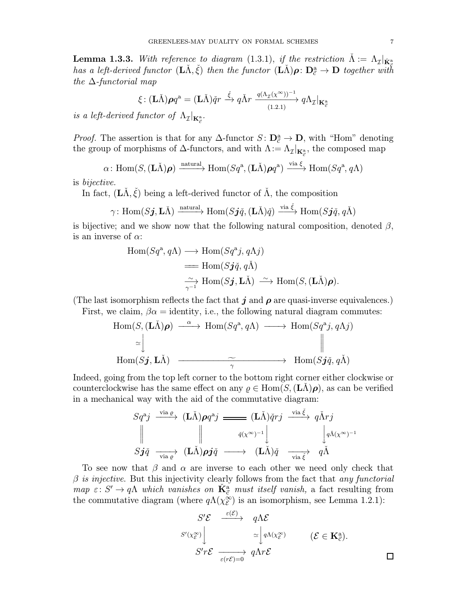**Lemma 1.3.3.** With reference to diagram (1.3.1), if the restriction  $\tilde{\Lambda} := \Lambda_{\mathcal{I}}|_{\tilde{\mathbf{K}}^{\mathbb{R}}_{\tilde{\sigma}}}$ has a left-derived functor  $(L\check{\Lambda}, \check{\xi})$  then the functor  $(L\check{\Lambda})\rho \colon D^{\mathbf{a}}_{\vec{\mathcal{C}}} \to \mathbf{D}$  together with the  $\Delta$ -functorial map

$$
\xi\colon (\mathbf{L}\check{\Lambda})\boldsymbol{\rho}q^{\mathbf{a}} = (\mathbf{L}\check{\Lambda})\check{q}r \stackrel{\check{\xi}}{\longrightarrow} q\check{\Lambda}r \xrightarrow[(1.2.1)]{q(\Lambda_{\mathcal{I}}(\chi^{\infty}))^{-1}} q\Lambda_{\mathcal{I}}|_{\mathbf{K}_{\vec{c}}^{\mathbf{a}}}
$$

is a left-derived functor of  $\Lambda_{\mathcal{I}}|_{\mathbf{K}_{\vec{c}}^{\mathbf{a}}}$ .

*Proof.* The assertion is that for any  $\Delta$ -functor  $S: D^a_{\vec{c}} \to D$ , with "Hom" denoting the group of morphisms of  $\Delta$ -functors, and with  $\Lambda := \Lambda_{\mathcal{I}}|_{\mathbf{K}^{\mathbf{a}}_{\mathcal{C}}},$  the composed map

$$
\alpha\colon \text{Hom}(S, (\mathbf{L}\check{\Lambda})\boldsymbol{\rho}) \xrightarrow{\text{natural}} \text{Hom}(Sq^{\mathbf{a}}, (\mathbf{L}\check{\Lambda})\boldsymbol{\rho}q^{\mathbf{a}}) \xrightarrow{\text{via }\xi} \text{Hom}(Sq^{\mathbf{a}}, q\Lambda)
$$

is bijective.

In fact,  $(L\Lambda, \xi)$  being a left-derived functor of  $\Lambda$ , the composition

$$
\gamma\colon \mathrm{Hom}(S\boldsymbol{j},\mathbf{L}\check{\Lambda})\xrightarrow{\text{natural}} \mathrm{Hom}(S\boldsymbol{j}\check{q},(\mathbf{L}\check{\Lambda})\check{q})\xrightarrow{\text{via }\check{\xi}} \mathrm{Hom}(S\boldsymbol{j}\check{q},q\check{\Lambda})
$$

is bijective; and we show now that the following natural composition, denoted  $\beta$ , is an inverse of  $\alpha$ :

$$
Hom(Sq^a, q\Lambda) \longrightarrow Hom(Sq^aj, q\Lambda j)
$$
  
=\t $Hom(S\boldsymbol{j}\check{q}, q\check{\Lambda})$   
 $\xrightarrow[\gamma^{-1}]{\sim} Hom(S\boldsymbol{j}, L\check{\Lambda}) \xrightarrow{\sim} Hom(S, (L\check{\Lambda})\rho).$ 

(The last isomorphism reflects the fact that j and  $\rho$  are quasi-inverse equivalences.)

First, we claim,  $\beta \alpha =$  identity, i.e., the following natural diagram commutes:

$$
\text{Hom}(S, (\mathbf{L}\check{\Lambda})\boldsymbol{\rho}) \xrightarrow{\alpha} \text{Hom}(Sq^{\mathbf{a}}, q\Lambda) \longrightarrow \text{Hom}(Sq^{\mathbf{a}}j, q\Lambda j)
$$
\n
$$
\simeq \begin{vmatrix}\n\vdots & \vdots & \vdots \\
\downarrow & & \downarrow \\
\downarrow & & & \downarrow \\
\downarrow & & & \downarrow \\
\downarrow & & & \downarrow \\
\downarrow & & & \downarrow \\
\downarrow & & & \downarrow \\
\downarrow & & & \downarrow \\
\downarrow & & & \downarrow \\
\downarrow & & & \downarrow \\
\downarrow & & & \downarrow \\
\downarrow & & & \downarrow \\
\downarrow & & & \downarrow \\
\downarrow & & & \downarrow \\
\downarrow & & & \downarrow \\
\downarrow & & & \downarrow \\
\downarrow & & & \downarrow \\
\downarrow & & & \downarrow \\
\downarrow & & & \downarrow \\
\downarrow & & & \downarrow \\
\downarrow & & & \downarrow \\
\downarrow & & & \downarrow \\
\downarrow & & & \downarrow \\
\downarrow & & & \downarrow \\
\downarrow & & & \downarrow \\
\downarrow & & & \downarrow \\
\downarrow & & & \downarrow \\
\downarrow & & & \downarrow \\
\downarrow & & & \downarrow \\
\downarrow & & & \downarrow \\
\downarrow & & & \downarrow \\
\downarrow & & & \downarrow \\
\downarrow & & & \downarrow \\
\downarrow & & & \downarrow \\
\downarrow & & & \downarrow \\
\downarrow & & & \downarrow \\
\downarrow & & & \downarrow \\
\downarrow & & & \downarrow \\
\downarrow & & & \downarrow \\
\downarrow & & & \downarrow \\
\downarrow & & & \downarrow \\
\downarrow & & & \downarrow \\
\downarrow & & & \downarrow \\
\downarrow & & & \downarrow \\
\downarrow & & & \downarrow \\
\downarrow & & & \downarrow \\
\downarrow & & & \downarrow \\
\downarrow & & & \downarrow \\
\downarrow & & & \downarrow \\
\downarrow & & & \downarrow \\
\downarrow & & & \downarrow \\
\downarrow & & & \downarrow \\
\downarrow & & & \downarrow \\
\downarrow & & & \downarrow \\
\downarrow & & & \downarrow \\
\downarrow & & & \downarrow \\
\downarrow & & & \downarrow \\
\downarrow & & & \downarrow \\
\downarrow & & & \downarrow \\
\downarrow & & & \downarrow \\
\downarrow & & & \downarrow \\
\downarrow & & & \downarrow \\
\downarrow & & & \downarrow \\
\downarrow & & & \downarrow \\
\downarrow & & & \downarrow \\
\downarrow & & & \downarrow \\
\downarrow & & & \downarrow \\
\down
$$

Indeed, going from the top left corner to the bottom right corner either clockwise or counterclockwise has the same effect on any  $\rho \in \text{Hom}(S, (\mathbf{L}\Lambda)\rho)$ , as can be verified in a mechanical way with the aid of the commutative diagram:

$$
Sq^{aj} \xrightarrow{\text{via } \varrho} (\mathbf{L}\check{\Lambda}) \rho q^{aj} \longrightarrow (\mathbf{L}\check{\Lambda}) \check{q} r j \xrightarrow{\text{via } \check{\xi}} q \check{\Lambda} r j
$$
  

$$
\parallel \qquad \qquad \parallel \qquad \qquad \check{q} (\chi^{\infty})^{-1} \downarrow \qquad \qquad \downarrow q \check{\Lambda} (\chi^{\infty})^{-1}
$$
  

$$
S\mathbf{j} \check{q} \xrightarrow{\text{via } \varrho} (\mathbf{L}\check{\Lambda}) \rho \mathbf{j} \check{q} \longrightarrow (\mathbf{L}\check{\Lambda}) \check{q} \xrightarrow{\text{via } \check{\xi}} q \check{\Lambda}
$$

To see now that  $\beta$  and  $\alpha$  are inverse to each other we need only check that  $\beta$  is injective. But this injectivity clearly follows from the fact that any functorial map  $\varepsilon: S' \to q\Lambda$  which vanishes on  $\check{K}^{\check{a}}_{\vec{c}}$  must itself vanish, a fact resulting from the commutative diagram (where  $q\Lambda(\chi_{\mathcal{E}}^{\infty})$  is an isomorphism, see Lemma 1.2.1):

$$
S'\mathcal{E} \xrightarrow{\varepsilon(\mathcal{E})} q\Lambda \mathcal{E}
$$
  
\n
$$
S'(x_{\mathcal{E}}^{\infty}) \Big|_{\varepsilon(r\mathcal{E})=0} \simeq \left| q\Lambda(x_{\mathcal{E}}^{\infty}) \right| \qquad (\mathcal{E} \in \mathbf{K}_{\mathcal{E}}^{a}).
$$
  
\n
$$
S'r\mathcal{E} \xrightarrow{\varepsilon(r\mathcal{E})=0} q\Lambda r\mathcal{E} \qquad \qquad \Box
$$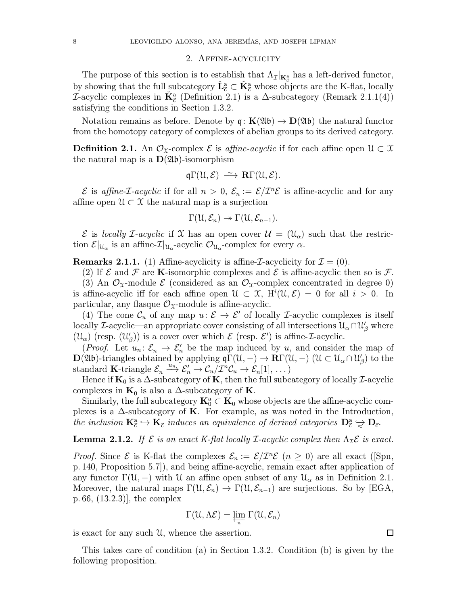### 2. Affine-acyclicity

The purpose of this section is to establish that  $\Lambda_{\mathcal{I}}|_{\mathbf{K}_{\mathcal{I}}^{\mathbf{a}}}$  has a left-derived functor, by showing that the full subcategory  $\check{\mathbf{L}}_{\vec{c}}^{\mathbf{a}} \subset \check{\mathbf{K}}_{\vec{c}}^{\mathbf{a}}$  whose objects are the K-flat, locally  $\mathcal{I}$ -acyclic complexes in  $\check{\mathbf{K}}^{\text{a}}_{\vec{c}}$  (Definition 2.1) is a  $\Delta$ -subcategory (Remark 2.1.1(4)) satisfying the conditions in Section 1.3.2.

Notation remains as before. Denote by  $q: K(\mathfrak{Ab}) \to D(\mathfrak{Ab})$  the natural functor from the homotopy category of complexes of abelian groups to its derived category.

**Definition 2.1.** An  $\mathcal{O}_X$ -complex  $\mathcal{E}$  is affine-acyclic if for each affine open  $\mathcal{U} \subset \mathcal{X}$ the natural map is a  $D(\mathfrak{Ab})$ -isomorphism

$$
\mathfrak{q}\Gamma(\mathfrak{U},\mathcal{E})\,\stackrel{\sim}{\longrightarrow}\,\mathbf{R}\Gamma(\mathfrak{U},\mathcal{E}).
$$

 $\mathcal E$  is affine-*L*-acyclic if for all  $n > 0$ ,  $\mathcal E_n := \mathcal E/\mathcal I^n\mathcal E$  is affine-acyclic and for any affine open  $\mathcal{U} \subset \mathcal{X}$  the natural map is a surjection

$$
\Gamma(\mathfrak{U},\mathcal{E}_n)\twoheadrightarrow \Gamma(\mathfrak{U},\mathcal{E}_{n-1}).
$$

 $\mathcal E$  is locally *I*-acyclic if X has an open cover  $\mathcal U = (\mathfrak{U}_{\alpha})$  such that the restriction  $\mathcal{E}|_{\mathfrak{U}_{\alpha}}$  is an affine- $\mathcal{I}|_{\mathfrak{U}_{\alpha}}$ -acyclic  $\mathcal{O}_{\mathfrak{U}_{\alpha}}$ -complex for every  $\alpha$ .

**Remarks 2.1.1.** (1) Affine-acyclicity is affine-*I*-acyclicity for  $\mathcal{I} = (0)$ .

(2) If  $\mathcal E$  and  $\mathcal F$  are K-isomorphic complexes and  $\mathcal E$  is affine-acyclic then so is  $\mathcal F$ . (3) An  $\mathcal{O}_{\mathfrak{X}}$ -module  $\mathcal{E}$  (considered as an  $\mathcal{O}_{\mathfrak{X}}$ -complex concentrated in degree 0) is affine-acyclic iff for each affine open  $\mathcal{U} \subset \mathcal{X}$ ,  $H^i(\mathcal{U}, \mathcal{E}) = 0$  for all  $i > 0$ . In particular, any flasque  $\mathcal{O}_{\mathfrak{X}}$ -module is affine-acyclic.

(4) The cone  $\mathcal{C}_u$  of any map  $u: \mathcal{E} \to \mathcal{E}'$  of locally *I*-acyclic complexes is itself locally *L*-acyclic—an appropriate cover consisting of all intersections  $\mathcal{U}_{\alpha} \cap \mathcal{U}'_{\beta}$  where  $(\mathcal{U}_{\alpha})$  (resp.  $(\mathcal{U}'_{\beta})$ ) is a cover over which  $\mathcal E$  (resp.  $\mathcal E'$ ) is affine-*I*-acyclic.

(*Proof.* Let  $u_n: \mathcal{E}_n \to \mathcal{E}'_n$  be the map induced by u, and consider the map of  $\mathbf{D}(\mathfrak{Ab})$ -triangles obtained by applying  $\mathfrak{q}\Gamma(\mathfrak{U},-) \to \mathbf{R}\Gamma(\mathfrak{U},-)$  ( $\mathfrak{U} \subset \mathfrak{U}_{\alpha} \cap \mathfrak{U}'_{\beta}$ ) to the standard K-triangle  $\mathcal{E}_n \stackrel{u_n}{\longrightarrow} \mathcal{E}'_n \stackrel{\sim}{\longrightarrow} \mathcal{C}_u/\mathcal{I}^n \mathcal{C}_u \rightarrow \mathcal{E}_n[1], \ldots)$ 

Hence if  $\mathbf{K}_0$  is a  $\Delta$ -subcategory of  $\mathbf{K}$ , then the full subcategory of locally *I*-acyclic complexes in  $\mathbf{K}_0$  is also a  $\Delta$ -subcategory of **K**.

Similarly, the full subcategory  $\mathbf{K}_0^a \subset \mathbf{K}_0$  whose objects are the affine-acyclic complexes is a  $\Delta$ -subcategory of **K**. For example, as was noted in the Introduction, the inclusion  $\mathbf{K}_{\vec{c}}^{\text{a}} \hookrightarrow \mathbf{K}_{\vec{c}}$  induces an equivalence of derived categories  $\mathbf{D}_{\vec{c}}^{\text{a}} \geqslant \mathbf{D}_{\vec{c}}$ .

# **Lemma 2.1.2.** If  $\mathcal E$  is an exact K-flat locally *I*-acyclic complex then  $\Lambda_{\mathcal I} \mathcal E$  is exact.

*Proof.* Since  $\mathcal E$  is K-flat the complexes  $\mathcal E_n := \mathcal E/\mathcal I^n\mathcal E$   $(n \geq 0)$  are all exact ([Spn, p.140, Proposition 5.7]), and being affine-acyclic, remain exact after application of any functor  $\Gamma(\mathfrak{U},-)$  with U an affine open subset of any  $\mathfrak{U}_{\alpha}$  as in Definition 2.1. Moreover, the natural maps  $\Gamma(\mathfrak{U}, \mathcal{E}_n) \to \Gamma(\mathfrak{U}, \mathcal{E}_{n-1})$  are surjections. So by [EGA, p.66, (13.2.3)], the complex

$$
\Gamma(\mathcal{U},\Lambda\mathcal{E})=\varprojlim_n\,\Gamma(\mathcal{U},\mathcal{E}_n)
$$

is exact for any such U, whence the assertion.

This takes care of condition (a) in Section 1.3.2. Condition (b) is given by the following proposition.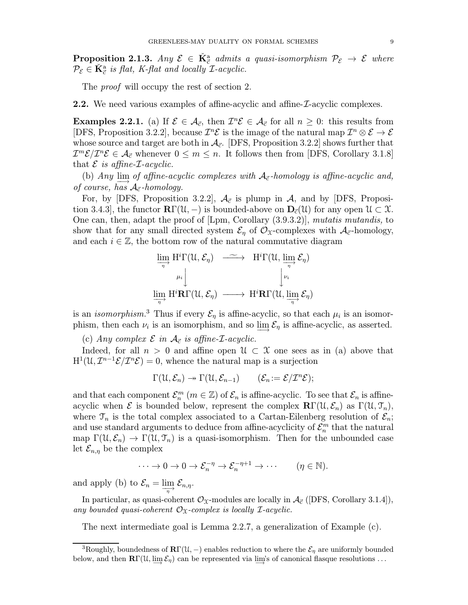**Proposition 2.1.3.** Any  $\mathcal{E} \in \check{\mathbf{K}}_{\vec{c}}^{\text{a}}$  admits a quasi-isomorphism  $\mathcal{P}_{\mathcal{E}} \to \mathcal{E}$  where  $\mathcal{P}_{\mathcal{E}} \in \check{\mathbf{K}}_{\vec{c}}^{a}$  is flat, K-flat and locally  $\mathcal{I}\text{-}acyclic$ .

The *proof* will occupy the rest of section 2.

2.2. We need various examples of affine-acyclic and affine- $\mathcal{I}$ -acyclic complexes.

**Examples 2.2.1.** (a) If  $\mathcal{E} \in \mathcal{A}_{\vec{c}}$ , then  $\mathcal{I}^n \mathcal{E} \in \mathcal{A}_{\vec{c}}$  for all  $n \geq 0$ : this results from [DFS, Proposition 3.2.2], because  $\mathcal{I}^n\mathcal{E}$  is the image of the natural map  $\mathcal{I}^n \otimes \mathcal{E} \to \mathcal{E}$ whose source and target are both in  $\mathcal{A}_{\vec{c}}$ . [DFS, Proposition 3.2.2] shows further that  $\mathcal{I}^m\mathcal{E}/\mathcal{I}^n\mathcal{E}\in\mathcal{A}_{\vec{c}}$  whenever  $0\leq m\leq n$ . It follows then from [DFS, Corollary 3.1.8] that  $\mathcal E$  is affine-*L*-acyclic.

(b) Any  $\lim_{m \to \infty}$  of affine-acyclic complexes with  $A_{\vec{c}}$ -homology is affine-acyclic and, of course, has  $A_{\vec{c}}$ -homology.

For, by [DFS, Proposition 3.2.2],  $\mathcal{A}_{\vec{c}}$  is plump in  $\mathcal{A}$ , and by [DFS, Proposition 3.4.3], the functor  $\mathbb{R}\Gamma(\mathcal{U},-)$  is bounded-above on  $\mathbb{D}_{\vec{c}}(\mathcal{U})$  for any open  $\mathcal{U} \subset \mathcal{X}$ . One can, then, adapt the proof of [Lpm, Corollary (3.9.3.2)], mutatis mutandis, to show that for any small directed system  $\mathcal{E}_\eta$  of  $\mathcal{O}_\mathfrak{X}$ -complexes with  $\mathcal{A}_{\vec{c}}$ -homology, and each  $i \in \mathbb{Z}$ , the bottom row of the natural commutative diagram

$$
\varinjlim_{\eta} H^{i} \Gamma(\mathcal{U}, \mathcal{E}_{\eta}) \longrightarrow H^{i} \Gamma(\mathcal{U}, \varinjlim_{\eta} \mathcal{E}_{\eta})
$$
\n
$$
\varinjlim_{\eta} H^{i} \mathbf{R} \Gamma(\mathcal{U}, \mathcal{E}_{\eta}) \longrightarrow H^{i} \mathbf{R} \Gamma(\mathcal{U}, \varinjlim_{\eta} \mathcal{E}_{\eta})
$$

is an *isomorphism*.<sup>3</sup> Thus if every  $\mathcal{E}_{\eta}$  is affine-acyclic, so that each  $\mu_i$  is an isomorphism, then each  $\nu_i$  is an isomorphism, and so lim $\mathcal{E}_{\eta}$  is affine-acyclic, as asserted.

(c) Any complex  $\mathcal E$  in  $\mathcal A_{\vec c}$  is affine-*L*-acyclic.

Indeed, for all  $n > 0$  and affine open  $\mathcal{U} \subset \mathcal{X}$  one sees as in (a) above that  $H^1(\mathcal{U}, \mathcal{I}^{n-1}\mathcal{E}/\mathcal{I}^n\mathcal{E}) = 0$ , whence the natural map is a surjection

$$
\Gamma(\mathfrak{U},\mathcal{E}_n)\twoheadrightarrow \Gamma(\mathfrak{U},\mathcal{E}_{n-1})\qquad (\mathcal{E}_n:=\mathcal{E}/\mathcal{I}^n\mathcal{E});
$$

and that each component  $\mathcal{E}_n^m$   $(m \in \mathbb{Z})$  of  $\mathcal{E}_n$  is affine-acyclic. To see that  $\mathcal{E}_n$  is affineacyclic when  $\mathcal E$  is bounded below, represent the complex  $\mathbb{R}\Gamma(\mathcal{U},\mathcal{E}_n)$  as  $\Gamma(\mathcal{U},\mathcal{I}_n)$ , where  $\mathcal{T}_n$  is the total complex associated to a Cartan-Eilenberg resolution of  $\mathcal{E}_n$ ; and use standard arguments to deduce from affine-acyclicity of  $\mathcal{E}_n^m$  that the natural map  $\Gamma(\mathcal{U}, \mathcal{E}_n) \to \Gamma(\mathcal{U}, \mathcal{T}_n)$  is a quasi-isomorphism. Then for the unbounded case let  $\mathcal{E}_{n,\eta}$  be the complex

$$
\cdots \to 0 \to 0 \to \mathcal{E}_n^{-\eta} \to \mathcal{E}_n^{-\eta+1} \to \cdots \qquad (\eta \in \mathbb{N}).
$$

and apply (b) to  $\mathcal{E}_n = \varinjlim_{n} \mathcal{E}_{n,n}$ .

In particular, as quasi-coherent  $\mathcal{O}_{\mathfrak{X}}$ -modules are locally in  $\mathcal{A}_{\vec{c}}$  ([DFS, Corollary 3.1.4]), any bounded quasi-coherent  $\mathcal{O}_{\mathfrak{X}}$ -complex is locally *I*-acyclic.

The next intermediate goal is Lemma 2.2.7, a generalization of Example (c).

<sup>&</sup>lt;sup>3</sup>Roughly, boundedness of  $\mathbb{R}\Gamma(\mathfrak{U},-)$  enables reduction to where the  $\mathcal{E}_{\eta}$  are uniformly bounded below, and then  $\mathbf{R}\Gamma(\mathcal{U}, \varinjlim \mathcal{E}_\eta)$  can be represented via  $\varinjlim$ 's of canonical flasque resolutions ...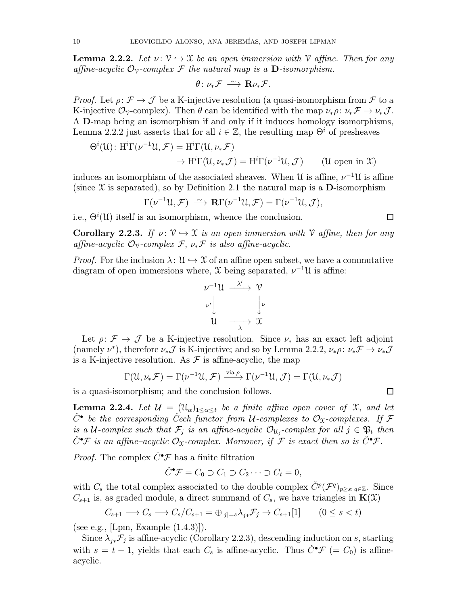**Lemma 2.2.2.** Let  $v: \mathcal{V} \hookrightarrow \mathcal{X}$  be an open immersion with V affine. Then for any affine-acyclic  $\mathcal{O}_{\mathcal{V}}$ -complex F the natural map is a **D**-isomorphism.

$$
\theta\colon\nu_*\mathcal{F}\,\stackrel{\sim}{\longrightarrow}\,\mathbf{R}\nu_*\mathcal{F}.
$$

*Proof.* Let  $\rho: \mathcal{F} \to \mathcal{J}$  be a K-injective resolution (a quasi-isomorphism from  $\mathcal{F}$  to a K-injective  $\mathcal{O}_{\mathcal{V}}$ -complex). Then  $\theta$  can be identified with the map  $\nu_*\rho: \nu_*\mathcal{F} \to \nu_*\mathcal{J}$ . A D-map being an isomorphism if and only if it induces homology isomorphisms, Lemma 2.2.2 just asserts that for all  $i \in \mathbb{Z}$ , the resulting map  $\Theta^i$  of presheaves

$$
\Theta^{i}(\mathcal{U}): \mathrm{H}^{i}\Gamma(\nu^{-1}\mathcal{U}, \mathcal{F}) = \mathrm{H}^{i}\Gamma(\mathcal{U}, \nu_{*}\mathcal{F})
$$

$$
\rightarrow \mathrm{H}^{i}\Gamma(\mathcal{U}, \nu_{*}\mathcal{J}) = \mathrm{H}^{i}\Gamma(\nu^{-1}\mathcal{U}, \mathcal{J}) \qquad (\mathcal{U} \text{ open in } \mathcal{X})
$$

induces an isomorphism of the associated sheaves. When U is affine,  $\nu^{-1}U$  is affine (since  $X$  is separated), so by Definition 2.1 the natural map is a D-isomorphism

$$
\Gamma(\nu^{-1}\mathfrak{U},\mathcal{F}) \stackrel{\sim}{\longrightarrow} \mathbf{R}\Gamma(\nu^{-1}\mathfrak{U},\mathcal{F}) = \Gamma(\nu^{-1}\mathfrak{U},\mathcal{J}),
$$

i.e.,  $\Theta^{i}(\mathcal{U})$  itself is an isomorphism, whence the conclusion.

**Corollary 2.2.3.** If  $\nu: \mathcal{V} \hookrightarrow \mathcal{X}$  is an open immersion with V affine, then for any affine-acyclic  $\mathcal{O}_{\mathcal{V}}$ -complex  $\mathcal{F}, \nu_*\mathcal{F}$  is also affine-acyclic.

*Proof.* For the inclusion  $\lambda: \mathcal{U} \hookrightarrow \mathcal{X}$  of an affine open subset, we have a commutative diagram of open immersions where,  $\mathfrak X$  being separated,  $\nu^{-1}\mathfrak U$  is affine:

$$
\begin{array}{ccc}\n\nu^{-1} \mathcal{U} & \xrightarrow{\lambda'} & \mathcal{V} \\
\nu' & & \downarrow \nu \\
\mathcal{U} & \xrightarrow{\lambda} & \mathcal{X}\n\end{array}
$$

Let  $\rho: \mathcal{F} \to \mathcal{J}$  be a K-injective resolution. Since  $\nu_*$  has an exact left adjoint (namely  $\nu^*$ ), therefore  $\nu_*\mathcal{J}$  is K-injective; and so by Lemma 2.2.2,  $\nu_*\rho: \nu_*\mathcal{F} \to \nu_*\mathcal{J}$ is a K-injective resolution. As  $\mathcal F$  is affine-acyclic, the map

$$
\Gamma(\mathfrak{U},\nu_*\mathcal{F})=\Gamma(\nu^{-1}\mathfrak{U},\mathcal{F})\xrightarrow{\text{via }\rho}\Gamma(\nu^{-1}\mathfrak{U},\mathcal{J})=\Gamma(\mathfrak{U},\nu_*\mathcal{J})
$$

is a quasi-isomorphism; and the conclusion follows.

**Lemma 2.2.4.** Let  $\mathcal{U} = (\mathfrak{U}_{\alpha})_{1 \leq \alpha \leq t}$  be a finite affine open cover of  $\mathfrak{X}$ , and let  $\check{C}^{\bullet}$  be the corresponding Cech functor from U-complexes to  $\mathcal{O}_\mathfrak{X}$ -complexes. If F is a U-complex such that  $\mathcal{F}_j$  is an affine-acyclic  $\mathcal{O}_{\mathfrak{U}_j}$ -complex for all  $j \in \mathfrak{P}_t$  then  $\check{C}^\bullet \mathcal{F}$  is an affine-acyclic  $\mathcal{O}_\mathfrak{X}$ -complex. Moreover, if  $\mathcal{F}$  is exact then so is  $\check{C}^\bullet \mathcal{F}$ .

*Proof.* The complex  $\check{C}^{\bullet} \mathcal{F}$  has a finite filtration

$$
\check{C}^{\bullet}\mathcal{F} = C_0 \supset C_1 \supset C_2 \cdots \supset C_t = 0,
$$

with  $C_s$  the total complex associated to the double complex  $\check{C}^p(\mathcal{F}^q)_{p>s; q\in\mathbb{Z}}$ . Since  $C_{s+1}$  is, as graded module, a direct summand of  $C_s$ , we have triangles in  $\mathbf{K}(\mathfrak{X})$ 

$$
C_{s+1} \longrightarrow C_s \longrightarrow C_s/C_{s+1} = \bigoplus_{|j|=s} \lambda_{j*} \mathcal{F}_j \longrightarrow C_{s+1}[1] \qquad (0 \le s < t)
$$

(see e.g., [Lpm, Example (1.4.3)]).

Since  $\lambda_{i*} \mathcal{F}_i$  is affine-acyclic (Corollary 2.2.3), descending induction on s, starting with  $s = t - 1$ , yields that each  $C_s$  is affine-acyclic. Thus  $\check{C}^{\bullet} \mathcal{F} (= C_0)$  is affineacyclic.

$$
\Box
$$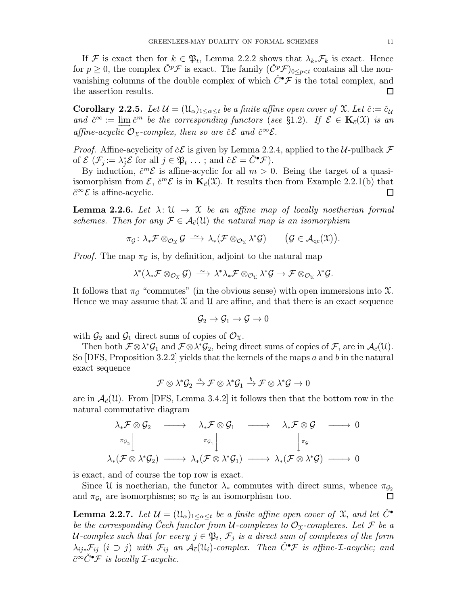If F is exact then for  $k \in \mathfrak{P}_t$ , Lemma 2.2.2 shows that  $\lambda_{k*} \mathcal{F}_k$  is exact. Hence for  $p \geq 0$ , the complex  $\check{C}^p\mathcal{F}$  is exact. The family  $(\check{C}^p\mathcal{F})_{0 \leq p < t}$  contains all the nonvanishing columns of the double complex of which  $\check{C}^{\bullet} \mathcal{F}$  is the total complex, and the assertion results.  $\Box$ 

**Corollary 2.2.5.** Let  $\mathcal{U} = (\mathcal{U}_{\alpha})_{1 \leq \alpha \leq t}$  be a finite affine open cover of  $\mathcal{X}$ . Let  $\check{c} := \check{c}_{\mathcal{U}}$ and  $\check{c}^{\infty} := \lim_{\check{c}} \check{c}^m$  be the corresponding functors (see §1.2). If  $\mathcal{E} \in \mathbf{K}_{\vec{c}}(\mathfrak{X})$  is an affine-acyclic  $\mathcal{O}_\mathfrak{X}$ -complex, then so are  $\check{c} \mathcal{E}$  and  $\check{c}^\infty \mathcal{E}$ .

*Proof.* Affine-acyclicity of  $\check{c}\mathcal{E}$  is given by Lemma 2.2.4, applied to the U-pullback  $\mathcal{F}$ of  $\mathcal{E}(\mathcal{F}_j := \lambda_j^* \mathcal{E}$  for all  $j \in \mathfrak{P}_t \dots$ ; and  $\check{c} \mathcal{E} = \check{C}^{\bullet} \mathcal{F}$ ).

By induction,  $\check{c}^m\mathcal{E}$  is affine-acyclic for all  $m > 0$ . Being the target of a quasiisomorphism from  $\mathcal{E}, \check{c}^m\mathcal{E}$  is in  $\mathbf{K}_{\vec{c}}(\mathfrak{X})$ . It results then from Example 2.2.1(b) that  $\check{c}^{\infty}$ *E* is affine-acyclic.  $\Box$ 

**Lemma 2.2.6.** Let  $\lambda: \mathcal{U} \to \mathcal{X}$  be an affine map of locally noetherian formal schemes. Then for any  $\mathcal{F} \in \mathcal{A}_{\vec{c}}(\mathfrak{U})$  the natural map is an isomorphism

$$
\pi_{\mathcal{G}} \colon \lambda_* \mathcal{F} \otimes_{\mathcal{O}_{\mathfrak{X}}} \mathcal{G} \stackrel{\sim}{\longrightarrow} \lambda_* (\mathcal{F} \otimes_{\mathcal{O}_\mathfrak{U}} \lambda^* \mathcal{G}) \qquad \big(\mathcal{G} \in \mathcal{A}_{\mathrm{qc}}(\mathfrak{X})\big).
$$

*Proof.* The map  $\pi_{\mathcal{G}}$  is, by definition, adjoint to the natural map

$$
\lambda^*(\lambda_*\mathcal{F} \otimes_{\mathcal{O}_{\mathfrak{X}}} \mathcal{G}) \longrightarrow \lambda^*\lambda_*\mathcal{F} \otimes_{\mathcal{O}_\mathfrak{U}} \lambda^*\mathcal{G} \rightarrow \mathcal{F} \otimes_{\mathcal{O}_\mathfrak{U}} \lambda^*\mathcal{G}.
$$

It follows that  $\pi_G$  "commutes" (in the obvious sense) with open immersions into X. Hence we may assume that  $\mathfrak X$  and  $\mathfrak U$  are affine, and that there is an exact sequence

$$
\mathcal{G}_2 \to \mathcal{G}_1 \to \mathcal{G} \to 0
$$

with  $\mathcal{G}_2$  and  $\mathcal{G}_1$  direct sums of copies of  $\mathcal{O}_\mathfrak{X}$ .

Then both  $\mathcal{F} \otimes \lambda^* \mathcal{G}_1$  and  $\mathcal{F} \otimes \lambda^* \mathcal{G}_2$ , being direct sums of copies of  $\mathcal{F}$ , are in  $\mathcal{A}_{\vec{c}}(\mathcal{U})$ . So  $[DFS, Proposition 3.2.2]$  yields that the kernels of the maps a and b in the natural exact sequence

$$
\mathcal{F}\otimes \lambda^*\mathcal{G}_2 \xrightarrow{a} \mathcal{F}\otimes \lambda^*\mathcal{G}_1 \xrightarrow{b} \mathcal{F}\otimes \lambda^*\mathcal{G} \to 0
$$

are in  $\mathcal{A}_{\vec{c}}(\mathcal{U})$ . From [DFS, Lemma 3.4.2] it follows then that the bottom row in the natural commutative diagram

$$
\begin{array}{ccc}\lambda_*\mathcal{F}\otimes\mathcal{G}_2&\longrightarrow&\lambda_*\mathcal{F}\otimes\mathcal{G}_1&\longrightarrow&\lambda_*\mathcal{F}\otimes\mathcal{G}&\longrightarrow&0\\ \pi_{\mathcal{G}_2}\Big\downarrow&&\pi_{\mathcal{G}_1}\Big\downarrow&&\Big\downarrow\pi_{\mathcal{G}}\\ \lambda_*(\mathcal{F}\otimes\lambda^*\mathcal{G}_2)&\longrightarrow&\lambda_*(\mathcal{F}\otimes\lambda^*\mathcal{G}_1)&\longrightarrow&\lambda_*(\mathcal{F}\otimes\lambda^*\mathcal{G})&\longrightarrow&0\end{array}
$$

is exact, and of course the top row is exact.

Since U is noetherian, the functor  $\lambda_*$  commutes with direct sums, whence  $\pi_{\mathcal{G}_2}$ and  $\pi_{\mathcal{G}_1}$  are isomorphisms; so  $\pi_{\mathcal{G}}$  is an isomorphism too.  $\Box$ 

**Lemma 2.2.7.** Let  $\mathcal{U} = (\mathfrak{U}_{\alpha})_{1 \leq \alpha \leq t}$  be a finite affine open cover of X, and let  $C^{\bullet}$ be the corresponding Cech functor from U-complexes to  $\mathcal{O}_\mathfrak{X}$ -complexes. Let F be a U-complex such that for every  $j \in \mathfrak{P}_t$ ,  $\mathcal{F}_j$  is a direct sum of complexes of the form  $\lambda_{ij}$ \* $\mathcal{F}_{ij}$  (i  $\supset j$ ) with  $\mathcal{F}_{ij}$  an  $\mathcal{A}_{\vec{c}}(\mathfrak{U}_i)$ -complex. Then  $\check{C}^{\bullet}\mathcal{F}$  is affine-*L*-acyclic; and  $\check{c}^{\infty}\check{C}^{\bullet}\mathcal{F}$  is locally *L*-acyclic.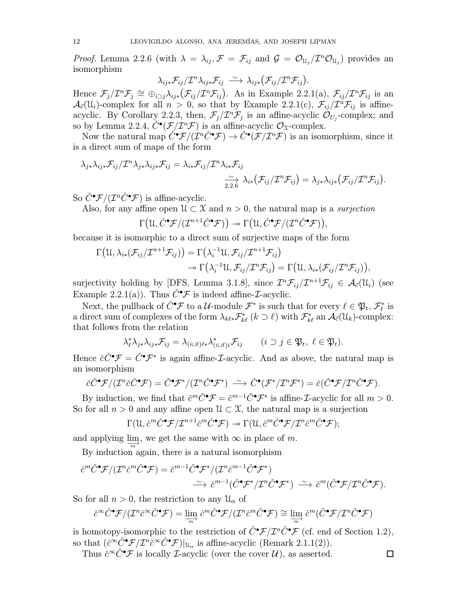*Proof.* Lemma 2.2.6 (with  $\lambda = \lambda_{ij}$ ,  $\mathcal{F} = \mathcal{F}_{ij}$  and  $\mathcal{G} = \mathcal{O}_{\mathfrak{U}_i}/T^n\mathcal{O}_{\mathfrak{U}_i}$ ) provides an isomorphism

$$
\lambda_{ij*} \mathcal{F}_{ij} / \mathcal{I}^n \lambda_{ij*} \mathcal{F}_{ij} \stackrel{\sim}{\longrightarrow} \lambda_{ij*} (\mathcal{F}_{ij} / \mathcal{I}^n \mathcal{F}_{ij}).
$$

Hence  $\mathcal{F}_j/\mathcal{I}^n\mathcal{F}_j \cong \bigoplus_{i\geq j}\lambda_{ij*}(\mathcal{F}_{ij}/\mathcal{I}^n\mathcal{F}_{ij})$ . As in Example 2.2.1(a),  $\mathcal{F}_{ij}/\mathcal{I}^n\mathcal{F}_{ij}$  is an  $\mathcal{A}_{\vec{c}}(\mathcal{U}_i)$ -complex for all  $n > 0$ , so that by Example 2.2.1(c),  $\mathcal{F}_{ij}/\mathcal{I}^n\mathcal{F}_{ij}$  is affineacyclic. By Corollary 2.2.3, then,  $\mathcal{F}_j/\mathcal{I}^n\mathcal{F}_j$  is an affine-acyclic  $\mathcal{O}_{U_j}$ -complex; and so by Lemma 2.2.4,  $C^{\bullet}(\mathcal{F}/\mathcal{I}^n\mathcal{F})$  is an affine-acyclic  $\mathcal{O}_{\mathcal{X}}$ -complex.

Now the natural map  $\check{C}^\bullet \mathcal{F}/(\check{\mathcal{I}}^n \check{C}^\bullet \mathcal{F}) \to \check{C}^\bullet(\mathcal{F}/\mathcal{I}^n \mathcal{F})$  is an isomorphism, since it is a direct sum of maps of the form

$$
\lambda_{j*}\lambda_{ij*}\mathcal{F}_{ij}/\mathcal{I}^n\lambda_{j*}\lambda_{ij*}\mathcal{F}_{ij}=\lambda_{i*}\mathcal{F}_{ij}/\mathcal{I}^n\lambda_{i*}\mathcal{F}_{ij}
$$

$$
\xrightarrow[2.2.6]{\sim} \lambda_{i*}(\mathcal{F}_{ij}/\mathcal{I}^n\mathcal{F}_{ij})=\lambda_{j*}\lambda_{ij*}(\mathcal{F}_{ij}/\mathcal{I}^n\mathcal{F}_{ij}).
$$

So  $\check{C}^{\bullet}\mathcal{F}/(\mathcal{I}^n\check{C}^{\bullet}\mathcal{F})$  is affine-acyclic.

Also, for any affine open  $\mathcal{U} \subset \mathcal{X}$  and  $n > 0$ , the natural map is a *surjection* 

$$
\Gamma\big(\mathfrak{U},\check{C}^{\bullet}\mathcal{F}/(\mathcal{I}^{n+1}\check{C}^{\bullet}\mathcal{F})\big) \twoheadrightarrow \Gamma\big(\mathfrak{U},\check{C}^{\bullet}\mathcal{F}/(\mathcal{I}^{n}\check{C}^{\bullet}\mathcal{F})\big),
$$

because it is isomorphic to a direct sum of surjective maps of the form

$$
\Gamma(\mathcal{U}, \lambda_{i*}(\mathcal{F}_{ij}/\mathcal{I}^{n+1}\mathcal{F}_{ij})) = \Gamma(\lambda_i^{-1}\mathcal{U}, \mathcal{F}_{ij}/\mathcal{I}^{n+1}\mathcal{F}_{ij}) \n\rightarrow \Gamma(\lambda_i^{-1}\mathcal{U}, \mathcal{F}_{ij}/\mathcal{I}^n\mathcal{F}_{ij}) = \Gamma(\mathcal{U}, \lambda_{i*}(\mathcal{F}_{ij}/\mathcal{I}^n\mathcal{F}_{ij})),
$$

surjectivity holding by [DFS, Lemma 3.1.8], since  $\mathcal{I}^n \mathcal{F}_{ij}/\mathcal{I}^{n+1} \mathcal{F}_{ij} \in \mathcal{A}_{\vec{c}}(\mathcal{U}_i)$  (see Example 2.2.1(a)). Thus  $\check{C}^{\bullet} \mathcal{F}$  is indeed affine-*L*-acyclic.

Next, the pullback of  $\check{C}^\bullet \mathcal{F}$  to a  $\mathcal{U}\text{-module }\mathcal{F}^*$  is such that for every  $\ell \in \mathfrak{P}_t$ ,  $\mathcal{F}_\ell^*$  is a direct sum of complexes of the form  $\lambda_{k\ell *} \mathcal{F}_{k\ell}^*$   $(k \supset \ell)$  with  $\mathcal{F}_{k\ell}^*$  an  $\mathcal{A}_{\vec{c}}(\mathcal{U}_k)$ -complex: that follows from the relation

$$
\lambda_{\ell}^* \lambda_{j*} \lambda_{ij*} \mathcal{F}_{ij} = \lambda_{(i \cup \ell)\ell*} \lambda_{(i \cup \ell)i}^* \mathcal{F}_{ij} \qquad (i \supset j \in \mathfrak{P}_t, \ \ell \in \mathfrak{P}_t).
$$

Hence  $\check{c}\check{C}^{\bullet}\mathcal{F} = \check{C}^{\bullet}\mathcal{F}^*$  is again affine-*L*-acyclic. And as above, the natural map is an isomorphism

$$
\check{c}\check{C}^{\bullet}\mathcal{F}/(\mathcal{I}^n\check{c}\check{C}^{\bullet}\mathcal{F})=\check{C}^{\bullet}\mathcal{F}^*/(\mathcal{I}^n\check{C}^{\bullet}\mathcal{F}^*)\ \stackrel{\sim}{\longrightarrow}\ \check{C}^{\bullet}(\mathcal{F}^*/\mathcal{I}^n\mathcal{F}^*)=\check{c}(\check{C}^{\bullet}\mathcal{F}/\mathcal{I}^n\check{C}^{\bullet}\mathcal{F}).
$$

By induction, we find that  $\check{c}^m \check{C}^{\bullet} \mathcal{F} = \check{c}^{m-1} \check{C}^{\bullet} \mathcal{F}^*$  is affine-*L*-acyclic for all  $m > 0$ . So for all  $n > 0$  and any affine open  $\mathcal{U} \subset \mathcal{X}$ , the natural map is a surjection

$$
\Gamma(\mathfrak{U},\check{c}^m\check{C}^{\bullet}\mathcal{F}/\mathcal{I}^{n+1}\check{c}^m\check{C}^{\bullet}\mathcal{F})\twoheadrightarrow \Gamma(\mathfrak{U},\check{c}^m\check{C}^{\bullet}\mathcal{F}/\mathcal{I}^n\check{c}^m\check{C}^{\bullet}\mathcal{F});
$$

and applying  $\lim_{m \to \infty}$ , we get the same with  $\infty$  in place of m.

By induction again, there is a natural isomorphism

$$
\check{c}^m \check{C}^\bullet \mathcal{F}/(\mathcal{I}^n \check{c}^m \check{C}^\bullet \mathcal{F}) = \check{c}^{m-1} \check{C}^\bullet \mathcal{F}^*/(\mathcal{I}^n \check{c}^{m-1} \check{C}^\bullet \mathcal{F}^*)
$$
  

$$
\xrightarrow{\sim} \check{c}^{m-1} (\check{C}^\bullet \mathcal{F}^*/\mathcal{I}^n \check{C}^\bullet \mathcal{F}^*) \xrightarrow{\sim} \check{c}^m (\check{C}^\bullet \mathcal{F}/\mathcal{I}^n \check{C}^\bullet \mathcal{F}).
$$

So for all  $n > 0$ , the restriction to any  $\mathcal{U}_{\alpha}$  of

$$
\check{c}^{\infty}\check{C}^{\bullet}\mathcal{F}/(\mathcal{I}^n\check{c}^{\infty}\check{C}^{\bullet}\mathcal{F})=\lim_{m}\check{c}^m\check{C}^{\bullet}\mathcal{F}/(\mathcal{I}^n\check{c}^m\check{C}^{\bullet}\mathcal{F})\cong \lim_{m}\check{c}^m(\check{C}^{\bullet}\mathcal{F}/\mathcal{I}^n\check{C}^{\bullet}\mathcal{F})
$$

is homotopy-isomorphic to the restriction of  $\check{C}^{\bullet}\mathcal{F}/\mathcal{I}^n\check{C}^{\bullet}\mathcal{F}$  (cf. end of Section 1.2), so that  $(\check{c}^{\infty} \check{C}^{\bullet} \mathcal{F}/\mathcal{I}^n \check{c}^{\infty} \check{C}^{\bullet} \mathcal{F})|_{\mathcal{U}_{\alpha}}$  is affine-acyclic (Remark 2.1.1(2)).

Thus  $\check{c}^{\infty} \check{C}^{\bullet} \mathcal{F}$  is locally *L*-acyclic (over the cover  $\mathcal{U}$ ), as asserted.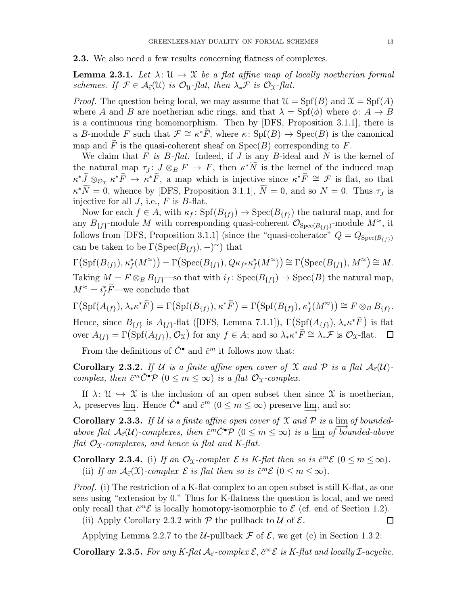2.3. We also need a few results concerning flatness of complexes.

**Lemma 2.3.1.** Let  $\lambda: \mathcal{U} \to \mathcal{X}$  be a flat affine map of locally noetherian formal schemes. If  $\mathcal{F} \in \mathcal{A}_{\vec{c}}(\mathfrak{U})$  is  $\mathcal{O}_{\mathfrak{U}}$ -flat, then  $\lambda_*\mathcal{F}$  is  $\mathcal{O}_{\mathfrak{X}}$ -flat.

*Proof.* The question being local, we may assume that  $\mathcal{U} = Spf(B)$  and  $\mathcal{X} = Spf(A)$ where A and B are noetherian adic rings, and that  $\lambda = Spf(\phi)$  where  $\phi: A \to B$ is a continuous ring homomorphism. Then by [DFS, Proposition 3.1.1], there is a B-module F such that  $\mathcal{F} \cong \kappa^* \tilde{F}$ , where  $\kappa: Spf(B) \to Spec(B)$  is the canonical map and F is the quasi-coherent sheaf on  $Spec(B)$  corresponding to F.

We claim that  $F$  is  $B$ -flat. Indeed, if  $J$  is any  $B$ -ideal and  $N$  is the kernel of the natural map  $\tau_J: J \otimes_B F \to F$ , then  $\kappa^* N$  is the kernel of the induced map  $\kappa^* \tilde{J} \otimes_{\mathcal{O}_{\mathfrak{X}}} \kappa^* \tilde{F} \to \kappa^* \tilde{F}$ , a map which is injective since  $\kappa^* \tilde{F} \cong \mathcal{F}$  is flat, so that  $\kappa^* \tilde{N} = 0$ , whence by [DFS, Proposition 3.1.1],  $\tilde{N} = 0$ , and so  $N = 0$ . Thus  $\tau_J$  is injective for all  $J$ , i.e.,  $F$  is  $B$ -flat.

Now for each  $f \in A$ , with  $\kappa_f : \text{Spf}(B_{\{f\}}) \to \text{Spec}(B_{\{f\}})$  the natural map, and for any  $B_{\{f\}}$ -module M with corresponding quasi-coherent  $\mathcal{O}_{Spec(B_{\{f\}})}$ -module  $M^{\approx}$ , it follows from [DFS, Proposition 3.1.1] (since the "quasi-coherator"  $Q = Q_{Spec(B_{ff})}$ ) can be taken to be  $\Gamma(\text{Spec}(B_{\{f\}}), -)^\sim)$  that

 $\Gamma\big(\text{Spf}(B_{\{f\}}),\kappa_f^*(M^\approx)\big)=\Gamma\big(\text{Spec}(B_{\{f\}}),Q\kappa_{f^*}\kappa_f^*(M^\approx)\big)\cong\Gamma\big(\text{Spec}(B_{\{f\}}),M^\approx\big)\cong M.$ Taking  $M = F \otimes_B B_{\{f\}}$ —so that with  $i_f : \text{Spec}(B_{\{f\}}) \to \text{Spec}(B)$  the natural map,  $M^{\approx} = i_f^* \tilde{F}$ —we conclude that

 $\Gamma\big(\text{Spf}(A_{\{f\}}), \lambda_* \kappa^* \widetilde{F}\big) = \Gamma\big(\text{Spf}(B_{\{f\}}), \kappa^* \widetilde{F}\big) = \Gamma\big(\text{Spf}(B_{\{f\}}), \kappa_f^*(M^{\approx})\big) \cong F \otimes_B B_{\{f\}}.$ Hence, since  $B_{\{f\}}$  is  $A_{\{f\}}$ -flat ([DFS, Lemma 7.1.1]),  $\Gamma(\text{Spf}(A_{\{f\}}), \lambda_* \kappa^* \tilde{F})$  is flat

over  $A_{\{f\}} = \Gamma(\text{Spf}(A_{\{f\}}), \mathcal{O}_\mathfrak{X})$  for any  $f \in A$ ; and so  $\lambda_* \kappa^* \widetilde{F} \cong \lambda_* \mathcal{F}$  is  $\mathcal{O}_\mathfrak{X}$ -flat.  $\Box$ 

From the definitions of  $\check{C}^{\bullet}$  and  $\check{c}^m$  it follows now that:

**Corollary 2.3.2.** If U is a finite affine open cover of X and P is a flat  $A_{\vec{c}}(\mathcal{U})$ complex, then  $\check{c}^m \check{C}^{\bullet} \mathcal{P}$   $(0 \leq m \leq \infty)$  is a flat  $\mathcal{O}_{\mathfrak{X}}$ -complex.

If  $\lambda: \mathcal{U} \hookrightarrow \mathcal{X}$  is the inclusion of an open subset then since X is noetherian,  $\lambda_*$  preserves lim−Hence  $\check{C}^{\bullet}$  and  $\check{c}^m$   $(0 \leq m \leq \infty)$  preserve lim<sub>c</sub>, and so:

Corollary 2.3.3. If U is a finite affine open cover of X and P is a  $\lim_{\longrightarrow}$  of boundedabove flat  $A_{\vec{c}}(\mathcal{U})$ -complexes, then  $\check{c}^m \check{C}^{\bullet} \mathcal{P}$   $(0 \leq m \leq \infty)$  is a  $\underline{\lim}_{\to}$  of bounded-above flat  $\mathcal{O}_X$ -complexes, and hence is flat and K-flat.

**Corollary 2.3.4.** (i) If an  $\mathcal{O}_X$ -complex  $\mathcal{E}$  is K-flat then so is  $\check{c}^m\mathcal{E}$  ( $0 \leq m \leq \infty$ ). (ii) If an  $\mathcal{A}_{\vec{c}}(\mathfrak{X})$ -complex  $\mathcal E$  is flat then so is  $\check{c}^m\mathcal E$   $(0 \leq m \leq \infty)$ .

Proof. (i) The restriction of a K-flat complex to an open subset is still K-flat, as one sees using "extension by 0." Thus for K-flatness the question is local, and we need only recall that  $\check{c}^m\mathcal{E}$  is locally homotopy-isomorphic to  $\mathcal{E}$  (cf. end of Section 1.2).

(ii) Apply Corollary 2.3.2 with  $P$  the pullback to  $U$  of  $\mathcal{E}$ .

Applying Lemma 2.2.7 to the *U*-pullback  $\mathcal F$  of  $\mathcal E$ , we get (c) in Section 1.3.2:

Corollary 2.3.5. For any K-flat  $\mathcal{A}_{\vec{c}}$ -complex  $\mathcal{E}, \check{c}^{\infty} \mathcal{E}$  is K-flat and locally *I*-acyclic.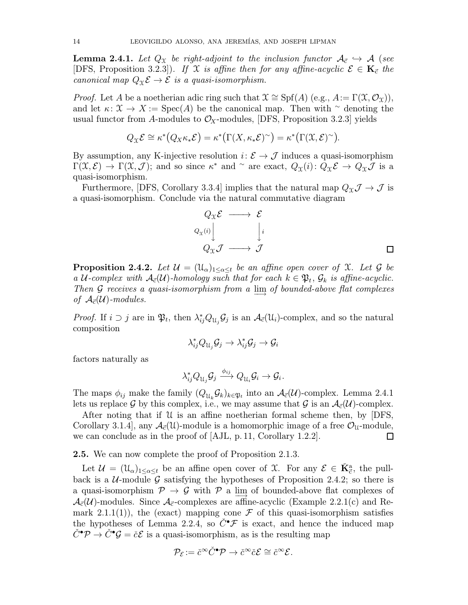**Lemma 2.4.1.** Let  $Q_x$  be right-adjoint to the inclusion functor  $A_{\vec{c}} \hookrightarrow A$  (see [DFS, Proposition 3.2.3]). If X is affine then for any affine-acyclic  $\mathcal{E} \in \mathbf{K}_{\vec{c}}$  the canonical map  $Q_{\mathfrak{X}} \mathcal{E} \to \mathcal{E}$  is a quasi-isomorphism.

*Proof.* Let A be a noetherian adic ring such that  $\mathfrak{X} \cong Spf(A)$  (e.g.,  $A := \Gamma(\mathfrak{X}, \mathcal{O}_{\mathfrak{X}})$ ), and let  $\kappa: \mathfrak{X} \to X := \operatorname{Spec}(A)$  be the canonical map. Then with  $\sim$  denoting the usual functor from A-modules to  $\mathcal{O}_X$ -modules, [DFS, Proposition 3.2.3] yields

$$
Q_{\mathfrak{X}} \mathcal{E} \cong \kappa^* (Q_X \kappa_* \mathcal{E}) = \kappa^* (\Gamma(X, \kappa_* \mathcal{E})^{\sim}) = \kappa^* (\Gamma(\mathfrak{X}, \mathcal{E})^{\sim}).
$$

By assumption, any K-injective resolution  $i: \mathcal{E} \to \mathcal{J}$  induces a quasi-isomorphism  $\Gamma(\mathfrak{X},\mathcal{E}) \to \Gamma(\mathfrak{X},\mathcal{J})$ ; and so since  $\kappa^*$  and  $\sim$  are exact,  $Q_{\mathfrak{X}}(i): Q_{\mathfrak{X}}\mathcal{E} \to Q_{\mathfrak{X}}\mathcal{J}$  is a quasi-isomorphism.

Furthermore, [DFS, Corollary 3.3.4] implies that the natural map  $Q_{\mathfrak{X}} \mathcal{J} \to \mathcal{J}$  is a quasi-isomorphism. Conclude via the natural commutative diagram

$$
Q_{\mathfrak{X}} \mathcal{E} \longrightarrow \mathcal{E}
$$
  
\n
$$
Q_{\mathfrak{X}}(i) \downarrow \qquad \qquad \downarrow i
$$
  
\n
$$
Q_{\mathfrak{X}} \mathcal{J} \longrightarrow \mathcal{J}
$$

**Proposition 2.4.2.** Let  $\mathcal{U} = (\mathfrak{U}_{\alpha})_{1 \leq \alpha \leq t}$  be an affine open cover of X. Let  $\mathcal G$  be a U-complex with  $A_{\vec{c}}(\mathcal{U})$ -homology such that for each  $k \in \mathfrak{P}_t$ ,  $\mathcal{G}_k$  is affine-acyclic. Then G receives a quasi-isomorphism from a  $\lim_{n \to \infty}$  of bounded-above flat complexes of  $\mathcal{A}_{\vec{c}}(\mathcal{U})$ -modules.

*Proof.* If  $i \supset j$  are in  $\mathfrak{P}_t$ , then  $\lambda_{ij}^* Q_{\mathfrak{U}_j} \mathcal{G}_j$  is an  $\mathcal{A}_{\vec{c}}(\mathfrak{U}_i)$ -complex, and so the natural composition

$$
\lambda_{ij}^* Q_{\mathfrak{U}_j} \mathcal{G}_j \to \lambda_{ij}^* \mathcal{G}_j \to \mathcal{G}_i
$$

factors naturally as

$$
\lambda_{ij}^* Q_{\mathfrak{U}_j}\mathcal{G}_j \xrightarrow{\phi_{ij}} Q_{\mathfrak{U}_i}\mathcal{G}_i \to \mathcal{G}_i.
$$

The maps  $\phi_{ij}$  make the family  $(Q_{\mathfrak{U}_k}\mathcal{G}_k)_{k\in\mathfrak{P}_t}$  into an  $\mathcal{A}_{\vec{c}}(\mathcal{U})$ -complex. Lemma 2.4.1 lets us replace G by this complex, i.e., we may assume that G is an  $A_{\vec{c}}(\mathcal{U})$ -complex.

After noting that if  $U$  is an affine noetherian formal scheme then, by [DFS, Corollary 3.1.4], any  $\mathcal{A}_{\vec{c}}(\mathcal{U})$ -module is a homomorphic image of a free  $\mathcal{O}_{\mathcal{U}}$ -module, we can conclude as in the proof of [AJL, p.11, Corollary 1.2.2].  $\Box$ 

2.5. We can now complete the proof of Proposition 2.1.3.

Let  $\mathcal{U} = (\mathcal{U}_{\alpha})_{1 \leq \alpha \leq t}$  be an affine open cover of X. For any  $\mathcal{E} \in \check{K}_{\vec{c}}^{a}$ , the pullback is a  $U$ -module G satisfying the hypotheses of Proposition 2.4.2; so there is a quasi-isomorphism  $\mathcal{P} \rightarrow \mathcal{G}$  with  $\mathcal{P}$  a lim of bounded-above flat complexes of  $\mathcal{A}_{\vec{c}}(\mathcal{U})$ -modules. Since  $\mathcal{A}_{\vec{c}}$ -complexes are affine-acyclic (Example 2.2.1(c) and Remark 2.1.1(1)), the (exact) mapping cone  $\mathcal F$  of this quasi-isomorphism satisfies the hypotheses of Lemma 2.2.4, so  $\check{C}^{\bullet} \mathcal{F}$  is exact, and hence the induced map  $\check{C}^{\bullet} \mathcal{P} \to \check{C}^{\bullet} \mathcal{G} = \check{c} \mathcal{E}$  is a quasi-isomorphism, as is the resulting map

$$
\mathcal{P}_{\mathcal{E}}:=\check{c}^{\infty}\check{C}^{\bullet}\mathcal{P}\rightarrow\check{c}^{\infty}\check{c}\mathcal{E}\cong\check{c}^{\infty}\mathcal{E}.
$$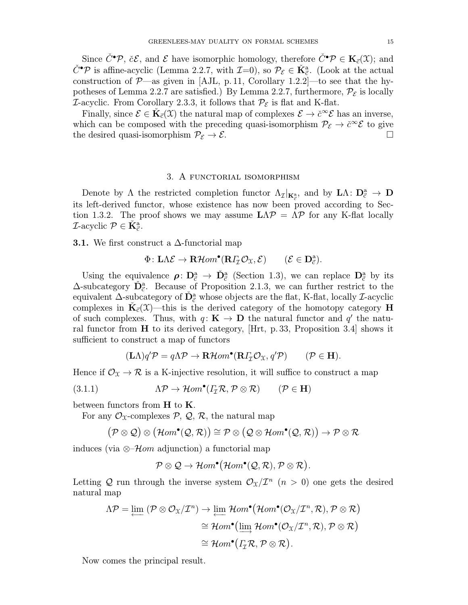Since  $\check{C}^{\bullet}\mathcal{P}$ ,  $\check{c}\mathcal{E}$ , and  $\mathcal{E}$  have isomorphic homology, therefore  $\check{C}^{\bullet}\mathcal{P} \in \mathbf{K}_{\vec{c}}(\mathfrak{X})$ ; and  $\check{C}^{\bullet}\mathcal{P}$  is affine-acyclic (Lemma 2.2.7, with  $\mathcal{I}=0$ ), so  $\mathcal{P}_{\mathcal{E}} \in \check{K}_{\vec{c}}^{a}$ . (Look at the actual construction of  $\mathcal{P}$ —as given in [AJL, p. 11, Corollary 1.2.2]—to see that the hypotheses of Lemma 2.2.7 are satisfied.) By Lemma 2.2.7, furthermore,  $\mathcal{P}_{\mathcal{E}}$  is locally *I*-acyclic. From Corollary 2.3.3, it follows that  $\mathcal{P}_{\mathcal{E}}$  is flat and K-flat.

Finally, since  $\mathcal{E} \in \mathbf{K}_{\vec{c}}(\mathcal{X})$  the natural map of complexes  $\mathcal{E} \to \check{c}^{\infty} \mathcal{E}$  has an inverse, which can be composed with the preceding quasi-isomorphism  $\mathcal{P}_{\mathcal{E}} \to \check{c}^{\infty} \mathcal{E}$  to give the desired quasi-isomorphism  $\mathcal{P}_{\mathcal{E}} \to \mathcal{E}$ .

### 3. A functorial isomorphism

Denote by  $\Lambda$  the restricted completion functor  $\Lambda_{\mathcal{I}}|_{\mathbf{K}_{\mathcal{C}}^{\mathbf{a}}}$ , and by  $\mathbf{L}\Lambda: \mathbf{D}_{\mathcal{C}}^{\mathbf{a}} \to \mathbf{D}$ its left-derived functor, whose existence has now been proved according to Section 1.3.2. The proof shows we may assume  $L\Lambda\mathcal{P} = \Lambda\mathcal{P}$  for any K-flat locally *T*-acyclic  $\mathcal{P} \in \check{\mathbf{K}}_{\vec{c}}^{\text{a}}$ .

**3.1.** We first construct a  $\Delta$ -functorial map

$$
\Phi\colon \mathbf{L}\Lambda\mathcal{E}\to\mathbf{R}\mathcal{H}\text{om}^{\bullet}(\mathbf{R}\Gamma_{\!\mathcal{I}}\mathcal{O}_{\mathfrak{X}},\mathcal{E})\qquad (\mathcal{E}\in\mathbf{D}_{\vec{c}}^{\mathrm{a}}).
$$

Using the equivalence  $\rho: D^a_{\vec{c}} \to \check{D}^a_{\vec{c}}$  (Section 1.3), we can replace  $D^a_{\vec{c}}$  by its  $\Delta$ -subcategory  $\tilde{\mathbf{D}}_{\vec{c}}^{a}$ . Because of Proposition 2.1.3, we can further restrict to the equivalent  $\Delta$ -subcategory of  $\tilde{D}^a_{\vec{c}}$  whose objects are the flat, K-flat, locally *I*-acyclic complexes in  $\mathbf{K}_{\vec{c}}(\mathcal{X})$ —this is the derived category of the homotopy category H of such complexes. Thus, with  $q: K \to \mathbf{D}$  the natural functor and  $q'$  the natural functor from  $H$  to its derived category, [Hrt, p. 33, Proposition 3.4] shows it sufficient to construct a map of functors

$$
(\mathbf{L}\Lambda)q'\mathcal{P} = q\Lambda\mathcal{P} \to \mathbf{R}\mathcal{H}om^{\bullet}(\mathbf{R}\Gamma_{\mathcal{I}}\mathcal{O}_{\mathfrak{X}}, q'\mathcal{P}) \qquad (\mathcal{P} \in \mathbf{H}).
$$

Hence if  $\mathcal{O}_\mathfrak{X} \to \mathcal{R}$  is a K-injective resolution, it will suffice to construct a map

(3.1.1) 
$$
\Lambda \mathcal{P} \to \mathcal{H}om^{\bullet}(I_{\mathcal{I}} \mathcal{R}, \mathcal{P} \otimes \mathcal{R}) \qquad (\mathcal{P} \in \mathbf{H})
$$

between functors from  $H$  to  $K$ .

For any  $\mathcal{O}_\mathfrak{X}$ -complexes  $\mathcal{P}, \mathcal{Q}, \mathcal{R}$ , the natural map

$$
\big({\mathcal{P}}\otimes {\mathcal{Q}}\big)\otimes \big({\mathcal{H}{om}}^\bullet({\mathcal{Q}},{\mathcal R})\big)\cong {\mathcal{P}}\otimes \big({\mathcal{Q}}\otimes {\mathcal{H}{om}}^\bullet({\mathcal{Q}},{\mathcal R})\big)\to {\mathcal{P}}\otimes {\mathcal R}
$$

induces (via ⊗– $\mathcal{H}$ *om* adjunction) a functorial map

$$
\mathcal{P}\otimes\mathcal{Q}\rightarrow \mathcal{H}om^{\bullet}(\mathcal{H}om^{\bullet}(\mathcal{Q},\mathcal{R}),\mathcal{P}\otimes\mathcal{R}).
$$

Letting Q run through the inverse system  $\mathcal{O}_{\mathfrak{X}}/\mathcal{I}^n$  ( $n > 0$ ) one gets the desired natural map

$$
\Lambda \mathcal{P} = \varprojlim (\mathcal{P} \otimes \mathcal{O}_{\mathfrak{X}} / \mathcal{I}^n) \to \varprojlim \mathcal{H}om^{\bullet}(\mathcal{H}om^{\bullet}(\mathcal{O}_{\mathfrak{X}} / \mathcal{I}^n, \mathcal{R}), \mathcal{P} \otimes \mathcal{R})
$$

$$
\cong \mathcal{H}om^{\bullet}(\varinjlim \mathcal{H}om^{\bullet}(\mathcal{O}_{\mathfrak{X}} / \mathcal{I}^n, \mathcal{R}), \mathcal{P} \otimes \mathcal{R})
$$

$$
\cong \mathcal{H}om^{\bullet}(\varGamma_{\mathcal{I}} \mathcal{R}, \mathcal{P} \otimes \mathcal{R}).
$$

Now comes the principal result.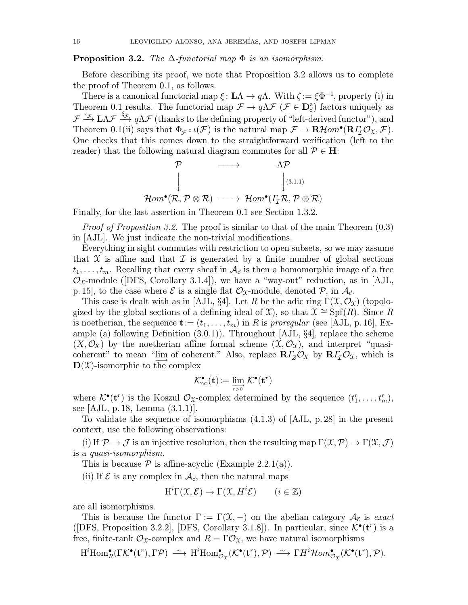### **Proposition 3.2.** The  $\Delta$ -functorial map  $\Phi$  is an isomorphism.

Before describing its proof, we note that Proposition 3.2 allows us to complete the proof of Theorem 0.1, as follows.

There is a canonical functorial map  $\xi : L\Lambda \to q\Lambda$ . With  $\zeta := \xi \Phi^{-1}$ , property (i) in Theorem 0.1 results. The functorial map  $\mathcal{F} \to q\Lambda \mathcal{F}$  ( $\mathcal{F} \in \mathbf{D}_{\vec{c}}^{a}$ ) factors uniquely as  $\mathcal{F} \stackrel{\iota_{\mathcal{F}}}{\longrightarrow} \mathbf{L}\Lambda\mathcal{F}$   $\stackrel{\xi_{\mathcal{F}}}{\longrightarrow} q\Lambda\mathcal{F}$  (thanks to the defining property of "left-derived functor"), and Theorem 0.1(ii) says that  $\Phi_{\mathcal{F}} \circ \iota(\mathcal{F})$  is the natural map  $\mathcal{F} \to \mathbf{R}\mathcal{H}om^{\bullet}(\mathbf{R}\Gamma_{\mathcal{I}}\mathcal{O}_{\mathfrak{X}},\mathcal{F})$ . One checks that this comes down to the straightforward verification (left to the reader) that the following natural diagram commutes for all  $\mathcal{P} \in \mathbf{H}$ :

$$
\begin{array}{ccc}\mathcal{P} & \longrightarrow & \Lambda \mathcal{P} \\
\downarrow & & \downarrow^{(3.1.1)} \\
\mathcal{H}om^{\bullet}(\mathcal{R}, \mathcal{P} \otimes \mathcal{R}) & \longrightarrow & \mathcal{H}om^{\bullet}(\varGamma_{\mathcal{I}} \mathcal{R}, \mathcal{P} \otimes \mathcal{R})\n\end{array}
$$

Finally, for the last assertion in Theorem 0.1 see Section 1.3.2.

Proof of Proposition 3.2. The proof is similar to that of the main Theorem (0.3) in [AJL]. We just indicate the non-trivial modifications.

Everything in sight commutes with restriction to open subsets, so we may assume that X is affine and that  $\mathcal I$  is generated by a finite number of global sections  $t_1,\ldots,t_m$ . Recalling that every sheaf in  $\mathcal{A}_{\vec{c}}$  is then a homomorphic image of a free  $\mathcal{O}_{\mathfrak{X}}$ -module ([DFS, Corollary 3.1.4]), we have a "way-out" reduction, as in [AJL, p. 15], to the case where  $\mathcal E$  is a single flat  $\mathcal O_{\mathfrak X}$ -module, denoted  $\mathcal P$ , in  $\mathcal A_{\vec c}$ .

This case is dealt with as in [AJL, §4]. Let R be the adic ring  $\Gamma(\mathfrak{X}, \mathcal{O}_{\mathfrak{X}})$  (topologized by the global sections of a defining ideal of  $\mathfrak{X}$ ), so that  $\mathfrak{X} \cong Spf(R)$ . Since R is noetherian, the sequence  $\mathbf{t} := (t_1, \ldots, t_m)$  in R is proregular (see [AJL, p. 16], Example (a) following Definition  $(3.0.1)$ ). Throughout [AJL,  $\S4$ ], replace the scheme  $(X, \mathcal{O}_X)$  by the noetherian affine formal scheme  $(\mathfrak{X}, \mathcal{O}_X)$ , and interpret "quasicoherent" to mean "lim of coherent." Also, replace  $R\Gamma_Z\mathcal{O}_X$  by  $R\Gamma_Z\mathcal{O}_X$ , which is  $\mathbf{D}(\mathfrak{X})$ -isomorphic to the complex

$$
\mathcal{K}^\bullet_\infty(\mathbf{t})\!:=\varinjlim_{r>0}\mathcal{K}^\bullet(\mathbf{t}^r)
$$

where  $\mathcal{K}^{\bullet}(\mathbf{t}^r)$  is the Koszul  $\mathcal{O}_{\mathcal{X}}$ -complex determined by the sequence  $(t_1^r, \ldots, t_m^r)$ , see [AJL, p.18, Lemma (3.1.1)].

To validate the sequence of isomorphisms (4.1.3) of [AJL, p.28] in the present context, use the following observations:

(i) If  $\mathcal{P} \to \mathcal{J}$  is an injective resolution, then the resulting map  $\Gamma(\mathfrak{X}, \mathcal{P}) \to \Gamma(\mathfrak{X}, \mathcal{J})$ is a quasi-isomorphism.

This is because  $P$  is affine-acyclic (Example 2.2.1(a)).

(ii) If  $\mathcal E$  is any complex in  $\mathcal A_{\vec c}$ , then the natural maps

$$
H^{i}\Gamma(\mathfrak{X}, \mathcal{E}) \to \Gamma(\mathfrak{X}, H^{i}\mathcal{E}) \qquad (i \in \mathbb{Z})
$$

are all isomorphisms.

This is because the functor  $\Gamma := \Gamma(\mathfrak{X},-)$  on the abelian category  $\mathcal{A}_{\vec{c}}$  is exact ([DFS, Proposition 3.2.2], [DFS, Corollary 3.1.8]). In particular, since  $\mathcal{K}^{\bullet}(\mathbf{t}^r)$  is a free, finite-rank  $\mathcal{O}_\mathfrak{X}$ -complex and  $R = \Gamma \mathcal{O}_\mathfrak{X}$ , we have natural isomorphisms

$$
\mathrm{H}^i \mathrm{Hom}^\bullet_R(\Gamma \mathcal{K}^\bullet(\mathbf{t}^r), \Gamma \mathcal{P}) \xrightarrow{\sim} \mathrm{H}^i \mathrm{Hom}^\bullet_{\mathcal{O}_\mathfrak{X}}(\mathcal{K}^\bullet(\mathbf{t}^r), \mathcal{P}) \xrightarrow{\sim} \Gamma \mathrm{H}^i \mathcal{H}om^\bullet_{\mathcal{O}_\mathfrak{X}}(\mathcal{K}^\bullet(\mathbf{t}^r), \mathcal{P}).
$$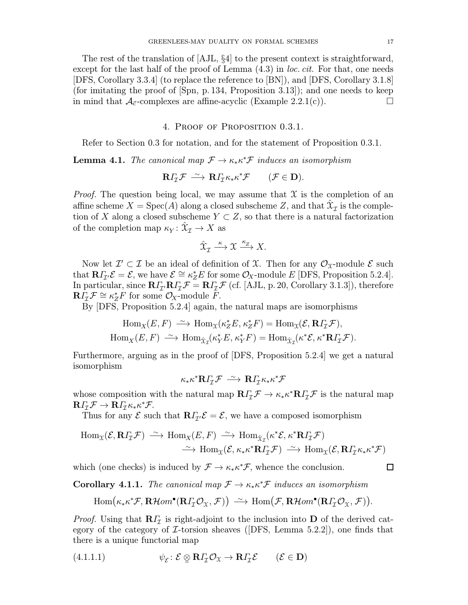The rest of the translation of [AJL, §4] to the present context is straightforward, except for the last half of the proof of Lemma  $(4.3)$  in *loc. cit.* For that, one needs [DFS, Corollary 3.3.4] (to replace the reference to [BN]), and [DFS, Corollary 3.1.8] (for imitating the proof of [Spn, p.134, Proposition 3.13]); and one needs to keep in mind that  $A_{\vec{c}}$ -complexes are affine-acyclic (Example 2.2.1(c)).

## 4. Proof of Proposition 0.3.1.

Refer to Section 0.3 for notation, and for the statement of Proposition 0.3.1.

**Lemma 4.1.** The canonical map  $\mathcal{F} \to \kappa_* \kappa^* \mathcal{F}$  induces an isomorphism

$$
\mathbf{R} \varGamma_{\mathcal{I}} \mathcal{F} \stackrel{\sim}{\longrightarrow} \mathbf{R} \varGamma_{\mathcal{I}} \kappa_* \kappa^* \mathcal{F} \qquad (\mathcal{F} \in \mathbf{D}).
$$

*Proof.* The question being local, we may assume that  $\mathcal X$  is the completion of an affine scheme  $X = \text{Spec}(A)$  along a closed subscheme Z, and that  $\hat{X}_{\tau}$  is the completion of X along a closed subscheme  $Y \subset Z$ , so that there is a natural factorization of the completion map  $\kappa_Y : \hat{X}_{\mathcal{I}} \to X$  as

$$
\hat{\mathfrak{X}}_{\mathcal{I}} \xrightarrow{\kappa} \mathfrak{X} \xrightarrow{\kappa_{Z}} X.
$$

Now let  $\mathcal{I}' \subset \mathcal{I}$  be an ideal of definition of X. Then for any  $\mathcal{O}_{\mathfrak{X}}$ -module  $\mathcal{E}$  such that  $\mathbf{R}\Gamma_{\mathcal{I}'}\mathcal{E}=\mathcal{E}$ , we have  $\mathcal{E}\cong\kappa_Z^*E$  for some  $\mathcal{O}_X$ -module E [DFS, Proposition 5.2.4]. In particular, since  $R\Gamma_{\tau}R\Gamma_{\tau}F = R\Gamma_{\tau}F$  (cf. [AJL, p. 20, Corollary 3.1.3]), therefore  $\mathbf{R}\tilde{\mathbf{I}}_T \mathcal{F} \cong \kappa_Z^* \tilde{\mathbf{F}}$  for some  $\mathcal{O}_X$ -module  $\tilde{\mathbf{F}}$ .

By [DFS, Proposition 5.2.4] again, the natural maps are isomorphisms

$$
\operatorname{Hom}_{X}(E, F) \xrightarrow{\sim} \operatorname{Hom}_{\mathfrak{X}}(\kappa_Z^* E, \kappa_Z^* F) = \operatorname{Hom}_{\mathfrak{X}}(\mathcal{E}, \mathbf{R} I_{\mathcal{I}} \mathcal{F}),
$$
  

$$
\operatorname{Hom}_{X}(E, F) \xrightarrow{\sim} \operatorname{Hom}_{\hat{\mathfrak{X}}_{\mathcal{I}}}(\kappa_Y^* E, \kappa_Y^* F) = \operatorname{Hom}_{\hat{\mathfrak{X}}_{\mathcal{I}}}(\kappa^* \mathcal{E}, \kappa^* \mathbf{R} I_{\mathcal{I}} \mathcal{F}).
$$

Furthermore, arguing as in the proof of [DFS, Proposition 5.2.4] we get a natural isomorphism

$$
\kappa_* \kappa^* {\mathbf R} I_{\mathcal I} {\mathcal F} \,\stackrel{\sim}{\longrightarrow}\, {\mathbf R} I_{\mathcal I} \kappa_* \kappa^* {\mathcal F}
$$

whose composition with the natural map  $R\Gamma_{\tau}\mathcal{F} \to \kappa_{*}\kappa^{*}R\Gamma_{\tau}\mathcal{F}$  is the natural map  $\mathbf{R} \Gamma_{\!\mathcal{I}} \mathcal{F} \to \mathbf{R} \Gamma_{\!\mathcal{I}} \kappa_* \kappa^* \mathcal{F}.$ 

Thus for any  $\mathcal E$  such that  $\mathbb R\Gamma_{\mathcal I'}\mathcal E=\mathcal E$ , we have a composed isomorphism

$$
\text{Hom}_{\mathfrak{X}}(\mathcal{E}, \mathbf{R}\Gamma_{\mathcal{I}}\mathcal{F}) \xrightarrow{\sim} \text{Hom}_{X}(E, F) \xrightarrow{\sim} \text{Hom}_{\hat{\mathfrak{X}}_{\mathcal{I}}}(\kappa^*\mathcal{E}, \kappa^*\mathbf{R}\Gamma_{\mathcal{I}}\mathcal{F})
$$

$$
\xrightarrow{\sim} \text{Hom}_{\mathfrak{X}}(\mathcal{E}, \kappa_*\kappa^*\mathbf{R}\Gamma_{\mathcal{I}}\mathcal{F}) \xrightarrow{\sim} \text{Hom}_{\mathfrak{X}}(\mathcal{E}, \mathbf{R}\Gamma_{\mathcal{I}}\kappa_*\kappa^*\mathcal{F})
$$

which (one checks) is induced by  $\mathcal{F} \to \kappa_* \kappa^* \mathcal{F}$ , whence the conclusion.

 $\Box$ 

**Corollary 4.1.1.** The canonical map  $\mathcal{F} \to \kappa_* \kappa^* \mathcal{F}$  induces an isomorphism

$$
\mathrm{Hom}\big(\kappa_*\kappa^* \mathcal{F}, \mathbf{R}\mathcal{H}om^{\bullet}(\mathbf{R}\Gamma_{\mathcal{I}}\mathcal{O}_{\mathfrak{X}}, \mathcal{F})\big) \stackrel{\sim}{\longrightarrow} \mathrm{Hom}\big(\mathcal{F}, \mathbf{R}\mathcal{H}om^{\bullet}(\mathbf{R}\Gamma_{\mathcal{I}}\mathcal{O}_{\mathfrak{X}}, \mathcal{F})\big).
$$

*Proof.* Using that  $\mathbb{R}\Gamma$ <sub>*T*</sub> is right-adjoint to the inclusion into **D** of the derived category of the category of  $\mathcal{I}\text{-torsion}$  sheaves ([DFS, Lemma 5.2.2]), one finds that there is a unique functorial map

(4.1.1.1) 
$$
\psi_{\mathcal{E}} \colon \mathcal{E} \otimes \mathbf{R} \Gamma_{\mathcal{I}} \mathcal{O}_{\mathfrak{X}} \to \mathbf{R} \Gamma_{\mathcal{I}} \mathcal{E} \qquad (\mathcal{E} \in \mathbf{D})
$$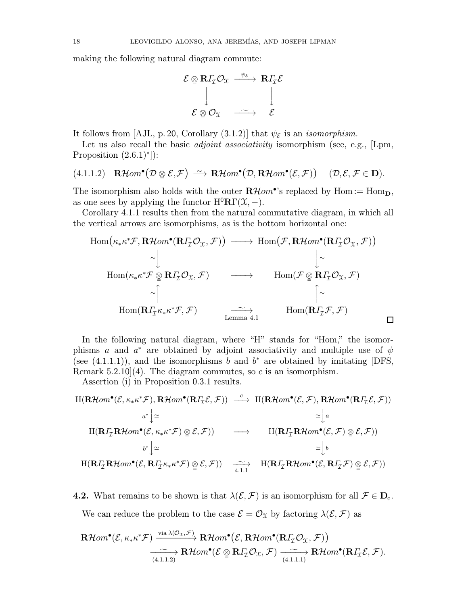making the following natural diagram commute:



It follows from [AJL, p. 20, Corollary (3.1.2)] that  $\psi_{\mathcal{E}}$  is an *isomorphism*.

Let us also recall the basic *adjoint associativity* isomorphism (see, e.g., [Lpm, Proposition  $(2.6.1)$ <sup>\*</sup>]):

$$
(4.1.1.2) \quad \mathbf{R}\mathcal{H}om^{\bullet}(\mathcal{D}\underset{\simeq}{\otimes}\mathcal{E},\mathcal{F}) \stackrel{\sim}{\longrightarrow} \mathbf{R}\mathcal{H}om^{\bullet}(\mathcal{D},\mathbf{R}\mathcal{H}om^{\bullet}(\mathcal{E},\mathcal{F})) \quad (\mathcal{D},\mathcal{E},\mathcal{F}\in\mathbf{D}).
$$

The isomorphism also holds with the outer  $\mathbf{R}\mathcal{H}om^{\bullet}$ 's replaced by  $\text{Hom} := \text{Hom}_{\mathbf{D}}$ , as one sees by applying the functor  $H^{0}R\Gamma(\mathfrak{X},-)$ .

Corollary 4.1.1 results then from the natural commutative diagram, in which all the vertical arrows are isomorphisms, as is the bottom horizontal one:

$$
\text{Hom}(\kappa_* \kappa^* \mathcal{F}, \mathbf{R} \mathcal{H}om^{\bullet}(\mathbf{R} \Gamma_{\mathcal{I}} \mathcal{O}_{\mathfrak{X}}, \mathcal{F})) \longrightarrow \text{Hom}(\mathcal{F}, \mathbf{R} \mathcal{H}om^{\bullet}(\mathbf{R} \Gamma_{\mathcal{I}} \mathcal{O}_{\mathfrak{X}}, \mathcal{F}))
$$
\n
$$
\simeq \begin{vmatrix}\n\vdots & \downarrow \\
\text{Hom}(\kappa_* \kappa^* \mathcal{F} \otimes \mathbf{R} \Gamma_{\mathcal{I}} \mathcal{O}_{\mathfrak{X}}, \mathcal{F}) & \longrightarrow & \text{Hom}(\mathcal{F} \otimes \mathbf{R} \Gamma_{\mathcal{I}} \mathcal{O}_{\mathfrak{X}}, \mathcal{F}) \\
\downarrow^{\simeq} & \uparrow^{\simeq} & \uparrow^{\simeq} \\
\text{Hom}(\mathbf{R} \Gamma_{\mathcal{I}} \kappa_* \kappa^* \mathcal{F}, \mathcal{F}) & \longrightarrow & \text{Hom}(\mathbf{R} \Gamma_{\mathcal{I}} \mathcal{F}, \mathcal{F})\n\end{vmatrix}
$$

In the following natural diagram, where "H" stands for "Hom," the isomorphisms a and  $a^*$  are obtained by adjoint associativity and multiple use of  $\psi$ (see  $(4.1.1.1)$ ), and the isomorphisms b and b<sup>\*</sup> are obtained by imitating [DFS, Remark  $5.2.10(4)$ . The diagram commutes, so c is an isomorphism.

Assertion (i) in Proposition 0.3.1 results.

$$
\begin{array}{ccc}\n\text{H}(\mathbf{R}\mathcal{H}om^{\bullet}(\mathcal{E}, \kappa_{*}\kappa^{*}\mathcal{F}), \mathbf{R}\mathcal{H}om^{\bullet}(\mathbf{R}\mathbf{I}_{\mathcal{I}}\mathcal{E}, \mathcal{F})) & \xrightarrow{c} & \text{H}(\mathbf{R}\mathcal{H}om^{\bullet}(\mathcal{E}, \mathcal{F}), \mathbf{R}\mathcal{H}om^{\bullet}(\mathbf{R}\mathbf{I}_{\mathcal{I}}\mathcal{E}, \mathcal{F})) \\
&\xrightarrow{a^{*}} \Big| \simeq & \simeq \Big| a \\
\text{H}(\mathbf{R}\mathbf{I}_{\mathcal{I}}\mathbf{R}\mathcal{H}om^{\bullet}(\mathcal{E}, \kappa_{*}\kappa^{*}\mathcal{F}) \otimes \mathcal{E}, \mathcal{F})) & \xrightarrow{c} & \text{H}(\mathbf{R}\mathbf{I}_{\mathcal{I}}\mathbf{R}\mathcal{H}om^{\bullet}(\mathcal{E}, \mathcal{F}) \otimes \mathcal{E}, \mathcal{F})) \\
&\xrightarrow{b^{*}} \Big| \simeq & \simeq \Big| b \\
\text{H}(\mathbf{R}\mathbf{I}_{\mathcal{I}}\mathbf{R}\mathcal{H}om^{\bullet}(\mathcal{E}, \mathbf{R}\mathbf{I}_{\mathcal{I}}\kappa_{*}\kappa^{*}\mathcal{F}) \otimes \mathcal{E}, \mathcal{F})) & \xrightarrow{c} & \text{H}(\mathbf{R}\mathbf{I}_{\mathcal{I}}\mathbf{R}\mathcal{H}om^{\bullet}(\mathcal{E}, \mathbf{R}\mathbf{I}_{\mathcal{I}}\mathcal{F}) \otimes \mathcal{E}, \mathcal{F}))\n\end{array}
$$

**4.2.** What remains to be shown is that  $\lambda(\mathcal{E}, \mathcal{F})$  is an isomorphism for all  $\mathcal{F} \in D_c$ .

We can reduce the problem to the case  $\mathcal{E} = \mathcal{O}_{\mathfrak{X}}$  by factoring  $\lambda(\mathcal{E}, \mathcal{F})$  as

$$
\mathbf{R}\mathcal{H}om^{\bullet}(\mathcal{E}, \kappa_{*}\kappa^{*}\mathcal{F}) \xrightarrow{\text{via }\lambda(\mathcal{O}_{\mathfrak{X}}, \mathcal{F})} \mathbf{R}\mathcal{H}om^{\bullet}(\mathcal{E}, \mathbf{R}\mathcal{H}om^{\bullet}(\mathbf{R}\Gamma_{\mathcal{I}}\mathcal{O}_{\mathfrak{X}}, \mathcal{F}))
$$
  

$$
\xrightarrow[(4.1.1.2)]
$$

$$
\mathbf{R}\mathcal{H}om^{\bullet}(\mathcal{E} \otimes \mathbf{R}\Gamma_{\mathcal{I}}\mathcal{O}_{\mathfrak{X}}, \mathcal{F}) \xrightarrow[(4.1.1.1)]
$$

$$
\xrightarrow[(4.1.1.2)]
$$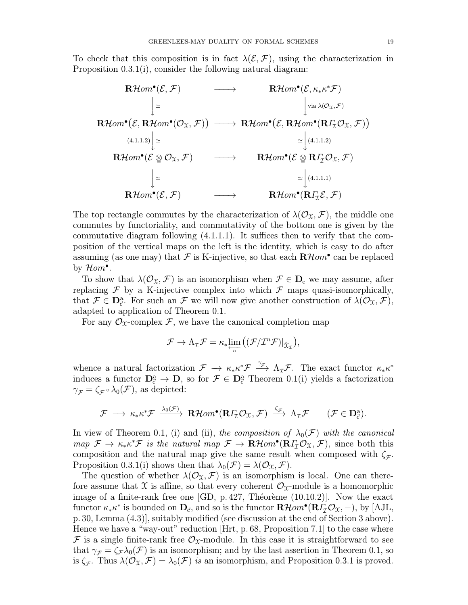To check that this composition is in fact  $\lambda(\mathcal{E}, \mathcal{F})$ , using the characterization in Proposition 0.3.1(i), consider the following natural diagram:

$$
\begin{array}{ccc}\n\mathbf{R}\mathcal{H}om^{\bullet}(\mathcal{E},\mathcal{F}) & \longrightarrow & \mathbf{R}\mathcal{H}om^{\bullet}(\mathcal{E},\kappa_{*}\kappa^{*}\mathcal{F}) \\
& \downarrow \simeq & \downarrow \text{via }\lambda(\mathcal{O}_{\mathfrak{X}},\mathcal{F}) \\
\mathbf{R}\mathcal{H}om^{\bullet}(\mathcal{E},\mathbf{R}\mathcal{H}om^{\bullet}(\mathcal{O}_{\mathfrak{X}},\mathcal{F})) & \longrightarrow & \mathbf{R}\mathcal{H}om^{\bullet}(\mathcal{E},\mathbf{R}\mathcal{H}om^{\bullet}(\mathbf{R}\Gamma_{\mathcal{I}}\mathcal{O}_{\mathfrak{X}},\mathcal{F})) \\
& & & & \downarrow (4.1.1.2) \\
& \mathbf{R}\mathcal{H}om^{\bullet}(\mathcal{E}\underset{\cong}{\otimes}\mathcal{O}_{\mathfrak{X}},\mathcal{F}) & \longrightarrow & \mathbf{R}\mathcal{H}om^{\bullet}(\mathcal{E}\underset{\cong}{\otimes}\mathbf{R}\Gamma_{\mathcal{I}}\mathcal{O}_{\mathfrak{X}},\mathcal{F}) \\
& & & & \downarrow (4.1.1.2) \\
& & & & \downarrow (4.1.1.2) \\
& & & & \downarrow (4.1.1.1) \\
& & & & \downarrow (4.1.1.1) \\
& & & & \downarrow (4.1.1.1)\n\end{array}
$$

The top rectangle commutes by the characterization of  $\lambda(\mathcal{O}_{\mathfrak{X}}, \mathcal{F})$ , the middle one commutes by functoriality, and commutativity of the bottom one is given by the commutative diagram following (4.1.1.1). It suffices then to verify that the composition of the vertical maps on the left is the identity, which is easy to do after assuming (as one may) that F is K-injective, so that each  $\mathbf{R}\mathcal{H}$ *om*<sup>•</sup> can be replaced by  $\mathcal{H}om^{\bullet}$ .

To show that  $\lambda(\mathcal{O}_{\mathfrak{X}}, \mathcal{F})$  is an isomorphism when  $\mathcal{F} \in \mathbf{D}_c$  we may assume, after replacing  $\mathcal F$  by a K-injective complex into which  $\mathcal F$  maps quasi-isomorphically, that  $\mathcal{F} \in \mathbf{D}_{\vec{c}}^{\mathsf{a}}$ . For such an  $\mathcal{F}$  we will now give another construction of  $\lambda(\mathcal{O}_{\mathfrak{X}}, \mathcal{F})$ , adapted to application of Theorem 0.1.

For any  $\mathcal{O}_X$ -complex F, we have the canonical completion map

$$
\mathcal{F} \to \Lambda_{\mathcal{I}} \mathcal{F} = \kappa_* \varprojlim_n \big( (\mathcal{F}/\mathcal{I}^n \mathcal{F})|_{\hat{\mathfrak{X}}_{\mathcal{I}}}\big),
$$

whence a natural factorization  $\mathcal{F} \to \kappa_* \kappa^* \mathcal{F} \longrightarrow \Lambda_{\mathcal{I}} \mathcal{F}$ . The exact functor  $\kappa_* \kappa^*$ induces a functor  $D^a_{\vec{c}} \to D$ , so for  $\mathcal{F} \in D^a_{\vec{c}}$  Theorem 0.1(i) yields a factorization  $\gamma_{\mathcal{F}} = \zeta_{\mathcal{F}} \circ \lambda_0(\mathcal{F})$ , as depicted:

$$
\mathcal{F} \longrightarrow \kappa_* \kappa^* \mathcal{F} \xrightarrow{\lambda_0(\mathcal{F})} \mathbf{R}\mathcal{H}om^{\bullet}(\mathbf{R}\Gamma_{\mathcal{I}}\mathcal{O}_{\mathfrak{X}}, \mathcal{F}) \xrightarrow{\zeta_{\mathcal{F}}} \Lambda_{\mathcal{I}}\mathcal{F} \qquad (\mathcal{F} \in \mathbf{D}_{\vec{c}}^{\mathbf{a}}).
$$

In view of Theorem 0.1, (i) and (ii), the composition of  $\lambda_0(\mathcal{F})$  with the canonical map  $\mathcal{F} \to \kappa_* \kappa^* \mathcal{F}$  is the natural map  $\mathcal{F} \to \mathbf{R}$  Hom\*( $\mathbf{R} I_{\mathcal{I}} \mathcal{O}_{\mathfrak{X}}, \mathcal{F}$ ), since both this composition and the natural map give the same result when composed with  $\zeta_{\mathcal{F}}$ . Proposition 0.3.1(i) shows then that  $\lambda_0(\mathcal{F}) = \lambda(\mathcal{O}_\mathfrak{X}, \mathcal{F})$ .

The question of whether  $\lambda(\mathcal{O}_{\mathfrak{X}}, \mathcal{F})$  is an isomorphism is local. One can therefore assume that X is affine, so that every coherent  $\mathcal{O}_{\mathfrak{X}}$ -module is a homomorphic image of a finite-rank free one  $|GD$ , p. 427, Théorème  $(10.10.2)$ . Now the exact functor  $\kappa_* \kappa^*$  is bounded on  $\mathbf{D}_{\vec{c}}$ , and so is the functor  $\mathbf{R}\mathcal{H}$ *om*•( $\mathbf{R}\Gamma_{\mathcal{I}}\mathcal{O}_{\mathfrak{X}},-)$ , by [AJL, p.30, Lemma (4.3)], suitably modified (see discussion at the end of Section 3 above). Hence we have a "way-out" reduction [Hrt, p.68, Proposition 7.1] to the case where F is a single finite-rank free  $\mathcal{O}_{\mathfrak{X}}$ -module. In this case it is straightforward to see that  $\gamma_{\mathcal{F}} = \zeta_{\mathcal{F}} \lambda_0(\mathcal{F})$  is an isomorphism; and by the last assertion in Theorem 0.1, so is  $\zeta_{\mathcal{F}}$ . Thus  $\lambda(\mathcal{O}_{\mathfrak{X}},\mathcal{F})=\lambda_0(\mathcal{F})$  is an isomorphism, and Proposition 0.3.1 is proved.